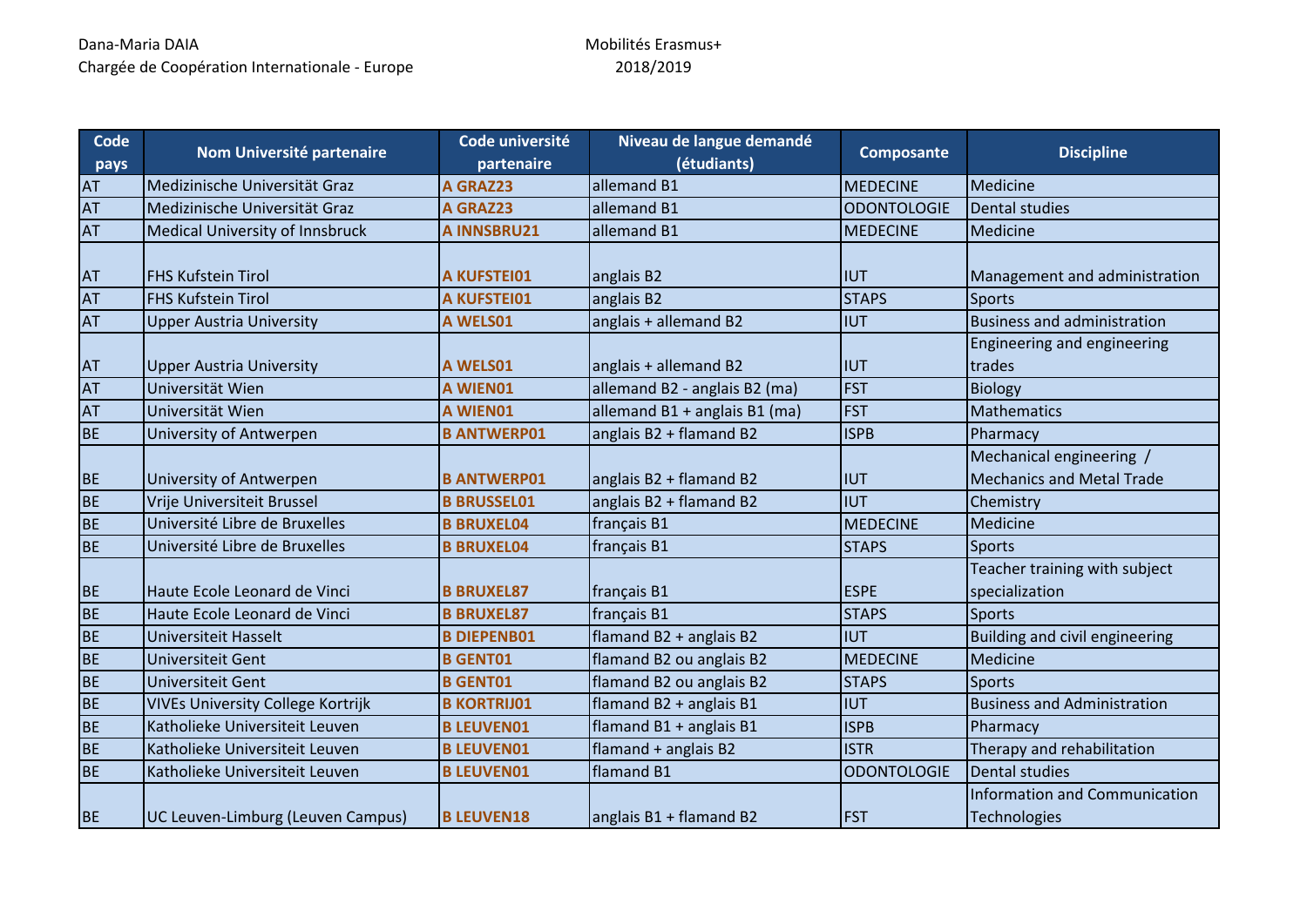| Code<br>pays | Nom Université partenaire                | Code université<br>partenaire | Niveau de langue demandé<br>(étudiants) | Composante         | <b>Discipline</b>                                            |
|--------------|------------------------------------------|-------------------------------|-----------------------------------------|--------------------|--------------------------------------------------------------|
| AT           | Medizinische Universität Graz            | A GRAZ23                      | allemand B1                             | <b>MEDECINE</b>    | Medicine                                                     |
| <b>AT</b>    | Medizinische Universität Graz            | A GRAZ23                      | allemand B1                             | <b>ODONTOLOGIE</b> | <b>Dental studies</b>                                        |
| AT           | <b>Medical University of Innsbruck</b>   | <b>A INNSBRU21</b>            | allemand B1                             | <b>MEDECINE</b>    | Medicine                                                     |
| AT           | <b>FHS Kufstein Tirol</b>                | <b>A KUFSTEI01</b>            | anglais B2                              | <b>IUT</b>         | Management and administration                                |
| AT           | <b>FHS Kufstein Tirol</b>                | <b>A KUFSTEI01</b>            | anglais B2                              | <b>STAPS</b>       | <b>Sports</b>                                                |
| <b>AT</b>    | <b>Upper Austria University</b>          | A WELS01                      | anglais + allemand B2                   | <b>IUT</b>         | <b>Business and administration</b>                           |
| AT           | <b>Upper Austria University</b>          | A WELS01                      | anglais + allemand B2                   | <b>IUT</b>         | Engineering and engineering<br>trades                        |
| AT           | Universität Wien                         | A WIEN01                      | allemand B2 - anglais B2 (ma)           | <b>FST</b>         | <b>Biology</b>                                               |
| AT           | Universität Wien                         | A WIEN01                      | allemand B1 + anglais B1 (ma)           | <b>FST</b>         | <b>Mathematics</b>                                           |
| <b>BE</b>    | University of Antwerpen                  | <b>B ANTWERP01</b>            | anglais B2 + flamand B2                 | <b>ISPB</b>        | Pharmacy                                                     |
| <b>BE</b>    | University of Antwerpen                  | <b>B ANTWERP01</b>            | anglais B2 + flamand B2                 | <b>IUT</b>         | Mechanical engineering /<br><b>Mechanics and Metal Trade</b> |
| <b>BE</b>    | Vrije Universiteit Brussel               | <b>B BRUSSEL01</b>            | anglais B2 + flamand B2                 | <b>IUT</b>         | Chemistry                                                    |
| <b>BE</b>    | Université Libre de Bruxelles            | <b>B BRUXEL04</b>             | français B1                             | <b>MEDECINE</b>    | Medicine                                                     |
| <b>BE</b>    | Université Libre de Bruxelles            | <b>B BRUXEL04</b>             | français B1                             | <b>STAPS</b>       | Sports                                                       |
| <b>BE</b>    | Haute Ecole Leonard de Vinci             | <b>B BRUXEL87</b>             | français B1                             | <b>ESPE</b>        | Teacher training with subject<br>specialization              |
| <b>BE</b>    | Haute Ecole Leonard de Vinci             | <b>B BRUXEL87</b>             | français B1                             | <b>STAPS</b>       | Sports                                                       |
| <b>BE</b>    | Universiteit Hasselt                     | <b>B DIEPENB01</b>            | flamand B2 + anglais B2                 | <b>IUT</b>         | Building and civil engineering                               |
| <b>BE</b>    | Universiteit Gent                        | <b>B GENT01</b>               | flamand B2 ou anglais B2                | <b>MEDECINE</b>    | Medicine                                                     |
| <b>BE</b>    | Universiteit Gent                        | <b>B GENT01</b>               | flamand B2 ou anglais B2                | <b>STAPS</b>       | <b>Sports</b>                                                |
| <b>BE</b>    | <b>VIVEs University College Kortrijk</b> | <b>B KORTRIJ01</b>            | flamand B2 + anglais B1                 | <b>IUT</b>         | <b>Business and Administration</b>                           |
| <b>BE</b>    | Katholieke Universiteit Leuven           | <b>B LEUVEN01</b>             | flamand B1 + anglais B1                 | <b>ISPB</b>        | Pharmacy                                                     |
| <b>BE</b>    | Katholieke Universiteit Leuven           | <b>B LEUVEN01</b>             | flamand + anglais B2                    | <b>ISTR</b>        | Therapy and rehabilitation                                   |
| <b>BE</b>    | Katholieke Universiteit Leuven           | <b>B LEUVEN01</b>             | flamand B1                              | <b>ODONTOLOGIE</b> | Dental studies                                               |
| <b>BE</b>    | UC Leuven-Limburg (Leuven Campus)        | <b>B LEUVEN18</b>             | anglais B1 + flamand B2                 | <b>FST</b>         | <b>Information and Communication</b><br><b>Technologies</b>  |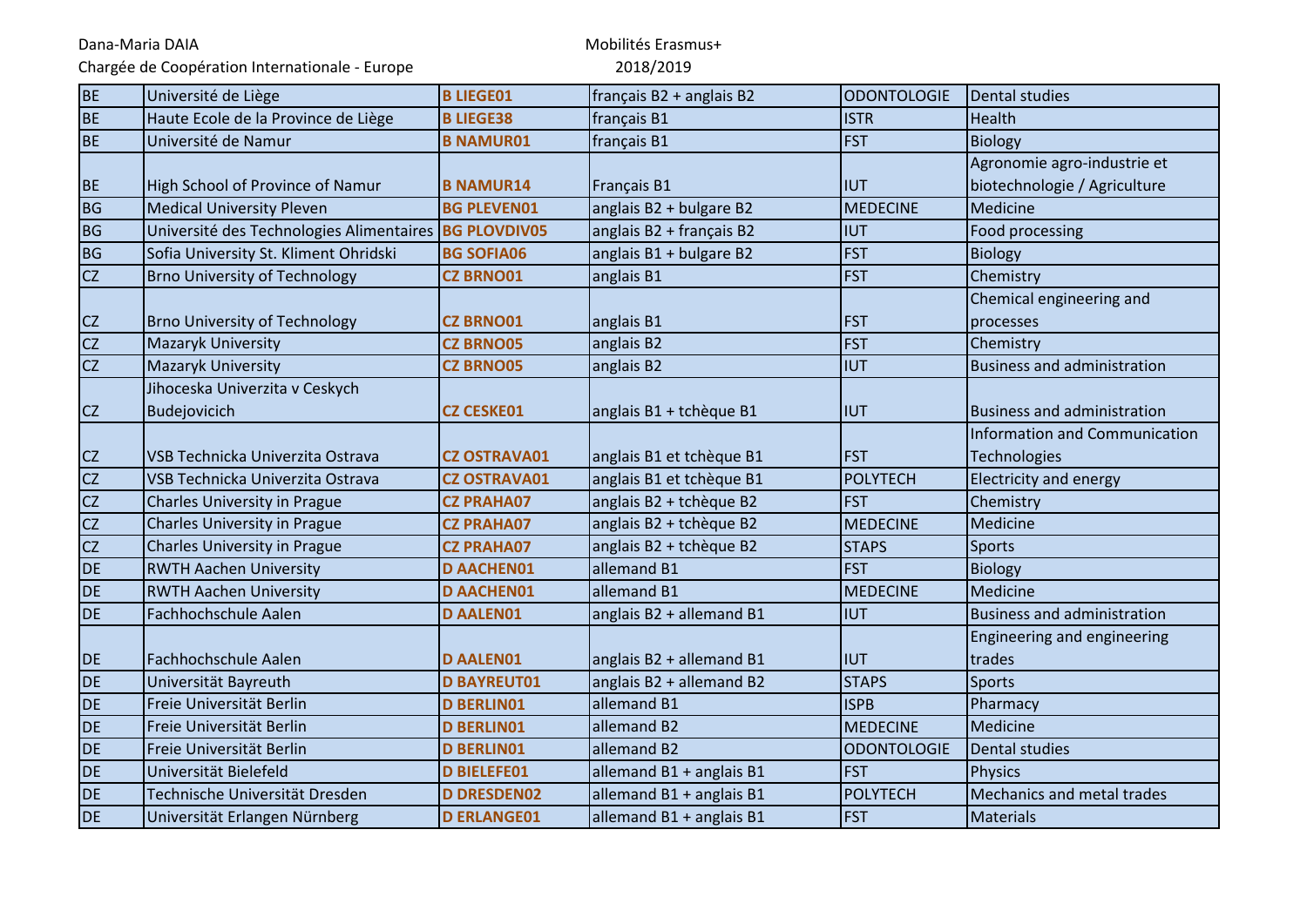Chargée de Coopération Internationale - Europe

| <b>BE</b> | Université de Liège                                   | <b>B LIEGE01</b>    | français B2 + anglais B2 | <b>ODONTOLOGIE</b> | Dental studies                       |
|-----------|-------------------------------------------------------|---------------------|--------------------------|--------------------|--------------------------------------|
| <b>BE</b> | Haute Ecole de la Province de Liège                   | <b>B LIEGE38</b>    | français B1              | <b>ISTR</b>        | <b>Health</b>                        |
| BE        | Université de Namur                                   | <b>B NAMUR01</b>    | français B1              | <b>FST</b>         | <b>Biology</b>                       |
|           |                                                       |                     |                          |                    | Agronomie agro-industrie et          |
| <b>BE</b> | High School of Province of Namur                      | <b>B NAMUR14</b>    | Français B1              | <b>IUT</b>         | biotechnologie / Agriculture         |
| BG        | <b>Medical University Pleven</b>                      | <b>BG PLEVEN01</b>  | anglais B2 + bulgare B2  | <b>MEDECINE</b>    | Medicine                             |
| BG        | Université des Technologies Alimentaires BG PLOVDIV05 |                     | anglais B2 + français B2 | <b>IUT</b>         | Food processing                      |
| <b>BG</b> | Sofia University St. Kliment Ohridski                 | <b>BG SOFIA06</b>   | anglais B1 + bulgare B2  | <b>FST</b>         | <b>Biology</b>                       |
| <b>CZ</b> | <b>Brno University of Technology</b>                  | <b>CZ BRNO01</b>    | anglais B1               | <b>FST</b>         | Chemistry                            |
|           |                                                       |                     |                          |                    | Chemical engineering and             |
| <b>CZ</b> | <b>Brno University of Technology</b>                  | <b>CZ BRNO01</b>    | anglais B1               | <b>FST</b>         | processes                            |
| <b>CZ</b> | <b>Mazaryk University</b>                             | <b>CZ BRNO05</b>    | anglais B2               | <b>FST</b>         | Chemistry                            |
| <b>CZ</b> | Mazaryk University                                    | <b>CZ BRNO05</b>    | anglais B2               | <b>IUT</b>         | <b>Business and administration</b>   |
|           | Jihoceska Univerzita v Ceskych                        |                     |                          |                    |                                      |
| <b>CZ</b> | Budejovicich                                          | <b>CZ CESKE01</b>   | anglais B1 + tchèque B1  | <b>IUT</b>         | <b>Business and administration</b>   |
|           |                                                       |                     |                          |                    | <b>Information and Communication</b> |
| <b>CZ</b> | IVSB Technicka Univerzita Ostrava                     | <b>CZ OSTRAVA01</b> | anglais B1 et tchèque B1 | <b>FST</b>         | <b>Technologies</b>                  |
| <b>CZ</b> | VSB Technicka Univerzita Ostrava                      | <b>CZ OSTRAVA01</b> | anglais B1 et tchèque B1 | <b>POLYTECH</b>    | Electricity and energy               |
| CZ        | <b>Charles University in Prague</b>                   | <b>CZ PRAHA07</b>   | anglais B2 + tchèque B2  | <b>FST</b>         | Chemistry                            |
| CZ        | Charles University in Prague                          | <b>CZ PRAHA07</b>   | anglais B2 + tchèque B2  | <b>MEDECINE</b>    | Medicine                             |
| CZ        | Charles University in Prague                          | <b>CZ PRAHA07</b>   | anglais B2 + tchèque B2  | <b>STAPS</b>       | <b>Sports</b>                        |
| <b>DE</b> | <b>RWTH Aachen University</b>                         | <b>D AACHEN01</b>   | allemand B1              | <b>FST</b>         | <b>Biology</b>                       |
| <b>DE</b> | <b>RWTH Aachen University</b>                         | <b>D AACHEN01</b>   | allemand B1              | <b>MEDECINE</b>    | Medicine                             |
| DE        | Fachhochschule Aalen                                  | <b>D AALEN01</b>    | anglais B2 + allemand B1 | <b>IUT</b>         | <b>Business and administration</b>   |
|           |                                                       |                     |                          |                    | Engineering and engineering          |
| DE        | Fachhochschule Aalen                                  | <b>D AALEN01</b>    | anglais B2 + allemand B1 | <b>IUT</b>         | trades                               |
| <b>DE</b> | Universität Bayreuth                                  | <b>D BAYREUT01</b>  | anglais B2 + allemand B2 | <b>STAPS</b>       | Sports                               |
| <b>DE</b> | Freie Universität Berlin                              | <b>D BERLINO1</b>   | allemand B1              | <b>ISPB</b>        | Pharmacy                             |
| <b>DE</b> | Freie Universität Berlin                              | <b>D BERLINO1</b>   | allemand B2              | <b>MEDECINE</b>    | Medicine                             |
| <b>DE</b> | Freie Universität Berlin                              | <b>D BERLINO1</b>   | allemand B2              | <b>ODONTOLOGIE</b> | <b>Dental studies</b>                |
| <b>DE</b> | Universität Bielefeld                                 | <b>D BIELEFE01</b>  | allemand B1 + anglais B1 | <b>FST</b>         | <b>Physics</b>                       |
| <b>DE</b> | Technische Universität Dresden                        | <b>D DRESDEN02</b>  | allemand B1 + anglais B1 | <b>POLYTECH</b>    | Mechanics and metal trades           |
| DE        | Universität Erlangen Nürnberg                         | <b>D ERLANGE01</b>  | allemand B1 + anglais B1 | <b>FST</b>         | <b>Materials</b>                     |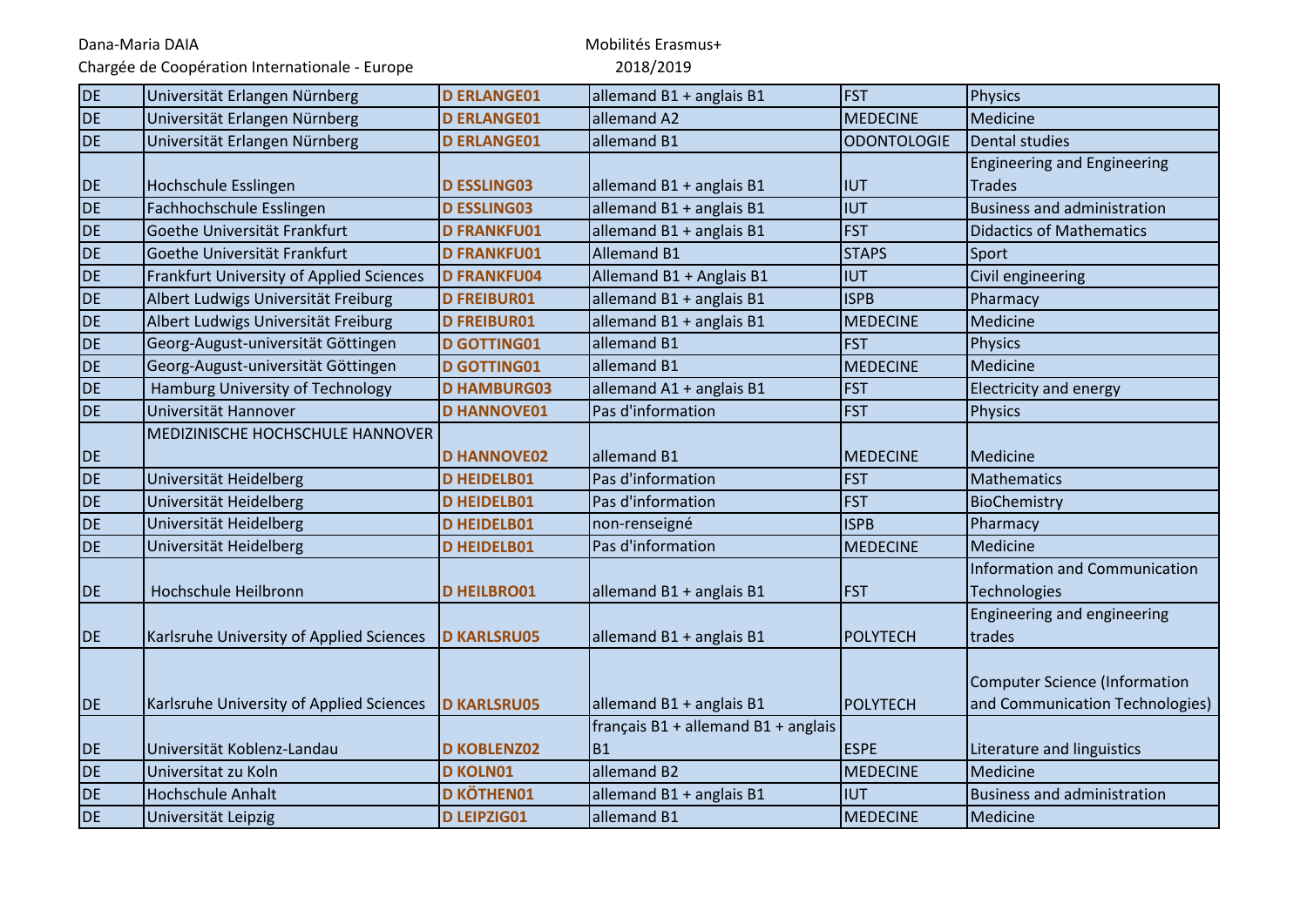Chargée de Coopération Internationale - Europe

| DE        | Universität Erlangen Nürnberg            | <b>D ERLANGE01</b> | allemand B1 + anglais B1            | <b>FST</b>         | <b>Physics</b>                     |
|-----------|------------------------------------------|--------------------|-------------------------------------|--------------------|------------------------------------|
| <b>DE</b> | Universität Erlangen Nürnberg            | <b>D ERLANGE01</b> | allemand A2                         | <b>MEDECINE</b>    | Medicine                           |
| <b>DE</b> | Universität Erlangen Nürnberg            | <b>D ERLANGE01</b> | allemand B1                         | <b>ODONTOLOGIE</b> | Dental studies                     |
|           |                                          |                    |                                     |                    | <b>Engineering and Engineering</b> |
| <b>DE</b> | Hochschule Esslingen                     | <b>D ESSLING03</b> | allemand B1 + anglais B1            | <b>IUT</b>         | <b>Trades</b>                      |
| <b>DE</b> | Fachhochschule Esslingen                 | <b>D ESSLING03</b> | allemand B1 + anglais B1            | <b>IUT</b>         | <b>Business and administration</b> |
| <b>DE</b> | Goethe Universität Frankfurt             | <b>D FRANKFU01</b> | allemand B1 + anglais B1            | <b>FST</b>         | <b>Didactics of Mathematics</b>    |
| <b>DE</b> | Goethe Universität Frankfurt             | <b>D FRANKFU01</b> | <b>Allemand B1</b>                  | <b>STAPS</b>       | Sport                              |
| <b>DE</b> | Frankfurt University of Applied Sciences | <b>D FRANKFU04</b> | Allemand B1 + Anglais B1            | <b>IUT</b>         | Civil engineering                  |
| <b>DE</b> | Albert Ludwigs Universität Freiburg      | <b>D FREIBUR01</b> | allemand B1 + anglais B1            | <b>ISPB</b>        | Pharmacy                           |
| <b>DE</b> | Albert Ludwigs Universität Freiburg      | <b>D FREIBUR01</b> | allemand B1 + anglais B1            | <b>MEDECINE</b>    | Medicine                           |
| <b>DE</b> | Georg-August-universität Göttingen       | <b>D GOTTING01</b> | allemand B1                         | <b>FST</b>         | <b>Physics</b>                     |
| <b>DE</b> | Georg-August-universität Göttingen       | <b>D GOTTING01</b> | allemand B1                         | <b>MEDECINE</b>    | Medicine                           |
| <b>DE</b> | Hamburg University of Technology         | <b>D HAMBURG03</b> | allemand A1 + anglais B1            | <b>FST</b>         | <b>Electricity and energy</b>      |
| <b>DE</b> | Universität Hannover                     | <b>D HANNOVE01</b> | Pas d'information                   | <b>FST</b>         | <b>Physics</b>                     |
|           | MEDIZINISCHE HOCHSCHULE HANNOVER         |                    |                                     |                    |                                    |
| <b>DE</b> |                                          | <b>D HANNOVE02</b> | allemand B1                         | <b>MEDECINE</b>    | Medicine                           |
| <b>DE</b> | Universität Heidelberg                   | <b>D HEIDELB01</b> | Pas d'information                   | <b>FST</b>         | Mathematics                        |
| <b>DE</b> | Universität Heidelberg                   | <b>D HEIDELB01</b> | Pas d'information                   | <b>FST</b>         | BioChemistry                       |
| <b>DE</b> | Universität Heidelberg                   | <b>D HEIDELB01</b> | non-renseigné                       | <b>ISPB</b>        | Pharmacy                           |
| <b>DE</b> | Universität Heidelberg                   | <b>D HEIDELB01</b> | Pas d'information                   | <b>MEDECINE</b>    | Medicine                           |
|           |                                          |                    |                                     |                    | Information and Communication      |
| <b>DE</b> | Hochschule Heilbronn                     | <b>D HEILBRO01</b> | allemand B1 + anglais B1            | <b>FST</b>         | Technologies                       |
|           |                                          |                    |                                     |                    | Engineering and engineering        |
| <b>DE</b> | Karlsruhe University of Applied Sciences | <b>D KARLSRU05</b> | allemand B1 + anglais B1            | POLYTECH           | trades                             |
|           |                                          |                    |                                     |                    |                                    |
|           |                                          |                    |                                     |                    | Computer Science (Information      |
| DE        | Karlsruhe University of Applied Sciences | <b>D KARLSRU05</b> | allemand B1 + anglais B1            | POLYTECH           | and Communication Technologies)    |
|           |                                          |                    | français B1 + allemand B1 + anglais |                    |                                    |
| <b>DE</b> | Universität Koblenz-Landau               | <b>D KOBLENZ02</b> | <b>B1</b>                           | <b>ESPE</b>        | Literature and linguistics         |
| <b>DE</b> | Universitat zu Koln                      | <b>D KOLN01</b>    | allemand B2                         | <b>MEDECINE</b>    | Medicine                           |
| <b>DE</b> | <b>Hochschule Anhalt</b>                 | <b>D KÖTHEN01</b>  | allemand B1 + anglais B1            | <b>IUT</b>         | <b>Business and administration</b> |
| <b>DE</b> | Universität Leipzig                      | <b>D LEIPZIG01</b> | allemand B1                         | <b>MEDECINE</b>    | Medicine                           |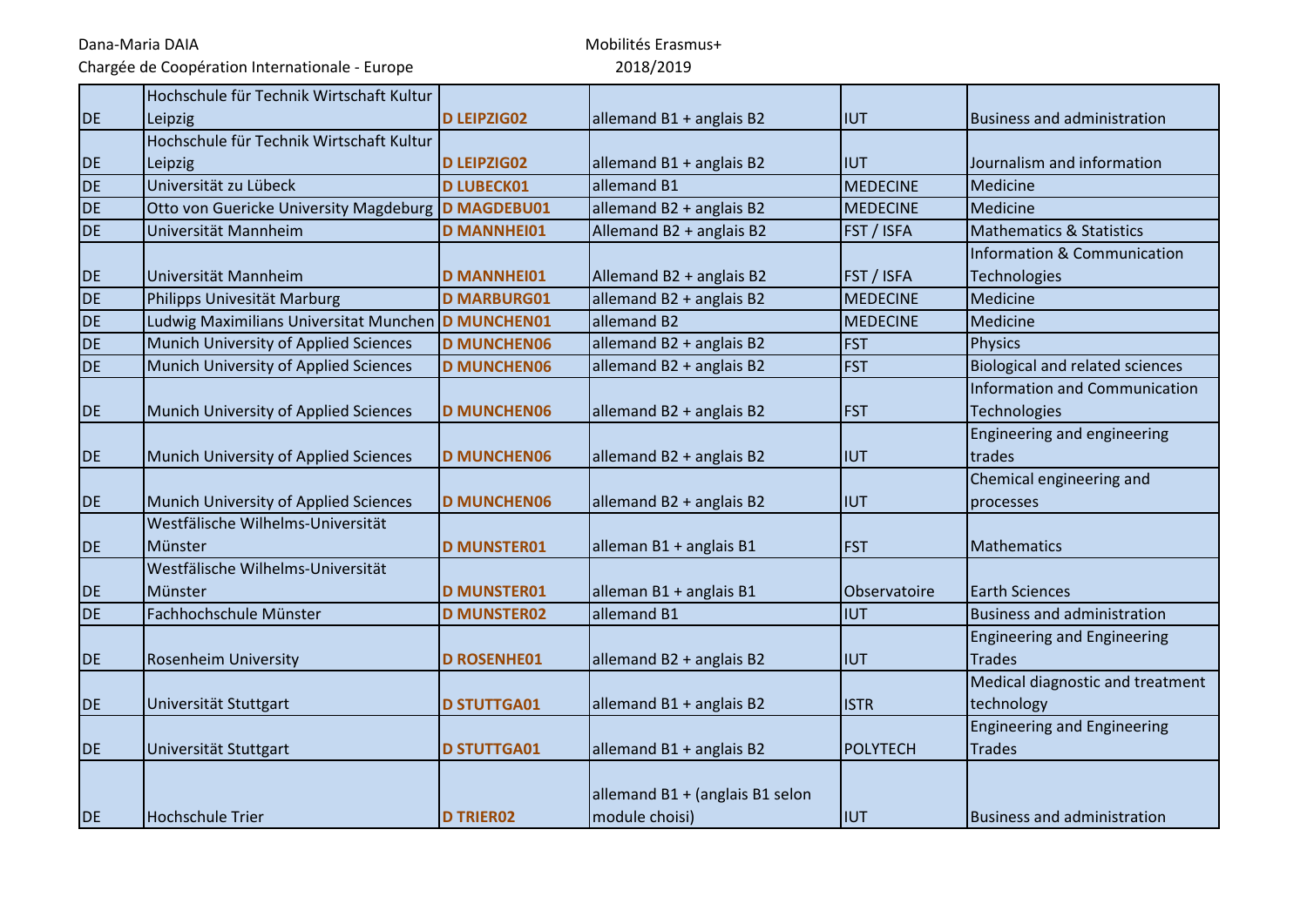Chargée de Coopération Internationale - Europe

|           | Hochschule für Technik Wirtschaft Kultur             |                    |                                 |                   |                                        |
|-----------|------------------------------------------------------|--------------------|---------------------------------|-------------------|----------------------------------------|
| <b>DE</b> | Leipzig                                              | <b>D LEIPZIG02</b> | allemand B1 + anglais B2        | <b>IUT</b>        | <b>Business and administration</b>     |
|           | Hochschule für Technik Wirtschaft Kultur             |                    |                                 |                   |                                        |
| <b>DE</b> | Leipzig                                              | <b>D LEIPZIG02</b> | allemand B1 + anglais B2        | IIUT              | Journalism and information             |
| <b>DE</b> | Universität zu Lübeck                                | <b>D LUBECK01</b>  | allemand B1                     | <b>MEDECINE</b>   | Medicine                               |
| <b>DE</b> | Otto von Guericke University Magdeburg   D MAGDEBU01 |                    | allemand B2 + anglais B2        | <b>MEDECINE</b>   | Medicine                               |
| <b>DE</b> | Universität Mannheim                                 | <b>D MANNHEI01</b> | Allemand B2 + anglais B2        | FST / ISFA        | <b>Mathematics &amp; Statistics</b>    |
|           |                                                      |                    |                                 |                   | <b>Information &amp; Communication</b> |
| <b>DE</b> | Universität Mannheim                                 | <b>D MANNHEI01</b> | Allemand B2 + anglais B2        | <b>FST / ISFA</b> | <b>Technologies</b>                    |
| <b>DE</b> | Philipps Univesität Marburg                          | <b>D MARBURG01</b> | allemand B2 + anglais B2        | <b>MEDECINE</b>   | Medicine                               |
| <b>DE</b> | Ludwig Maximilians Universitat Munchen D MUNCHEN01   |                    | allemand B2                     | <b>MEDECINE</b>   | Medicine                               |
| <b>DE</b> | Munich University of Applied Sciences                | <b>D MUNCHEN06</b> | allemand B2 + anglais B2        | <b>FST</b>        | <b>Physics</b>                         |
| <b>DE</b> | Munich University of Applied Sciences                | <b>D MUNCHEN06</b> | allemand B2 + anglais B2        | <b>FST</b>        | <b>Biological and related sciences</b> |
|           |                                                      |                    |                                 |                   | <b>Information and Communication</b>   |
| <b>DE</b> | Munich University of Applied Sciences                | <b>D MUNCHEN06</b> | allemand B2 + anglais B2        | <b>FST</b>        | <b>Technologies</b>                    |
|           |                                                      |                    |                                 |                   | Engineering and engineering            |
| <b>DE</b> | Munich University of Applied Sciences                | <b>D MUNCHEN06</b> | allemand B2 + anglais B2        | <b>IUT</b>        | trades                                 |
|           |                                                      |                    |                                 |                   | Chemical engineering and               |
| DE        | Munich University of Applied Sciences                | <b>D MUNCHEN06</b> | allemand B2 + anglais B2        | <b>IIUT</b>       | processes                              |
|           | Westfälische Wilhelms-Universität                    |                    |                                 |                   |                                        |
| <b>DE</b> | Münster                                              | <b>D MUNSTER01</b> | alleman B1 + anglais B1         | <b>FST</b>        | Mathematics                            |
|           | Westfälische Wilhelms-Universität                    |                    |                                 |                   |                                        |
| DE        | Münster                                              | <b>D MUNSTER01</b> | alleman B1 + anglais B1         | Observatoire      | <b>Earth Sciences</b>                  |
| DE        | Fachhochschule Münster                               | <b>D MUNSTER02</b> | allemand B1                     | <b>IUT</b>        | <b>Business and administration</b>     |
|           |                                                      |                    |                                 |                   | <b>Engineering and Engineering</b>     |
| DE        | <b>Rosenheim University</b>                          | <b>D ROSENHE01</b> | allemand B2 + anglais B2        | <b>IUT</b>        | <b>Trades</b>                          |
|           |                                                      |                    |                                 |                   | Medical diagnostic and treatment       |
| DE        | Universität Stuttgart                                | <b>D STUTTGA01</b> | allemand B1 + anglais B2        | <b>ISTR</b>       | technology                             |
|           |                                                      |                    |                                 |                   | <b>Engineering and Engineering</b>     |
| DE        | Universität Stuttgart                                | <b>D STUTTGA01</b> | allemand B1 + anglais B2        | POLYTECH          | <b>Trades</b>                          |
|           |                                                      |                    |                                 |                   |                                        |
|           |                                                      |                    | allemand B1 + (anglais B1 selon |                   |                                        |
| <b>DE</b> | <b>Hochschule Trier</b>                              | <b>D TRIER02</b>   | module choisi)                  | IIUT              | <b>Business and administration</b>     |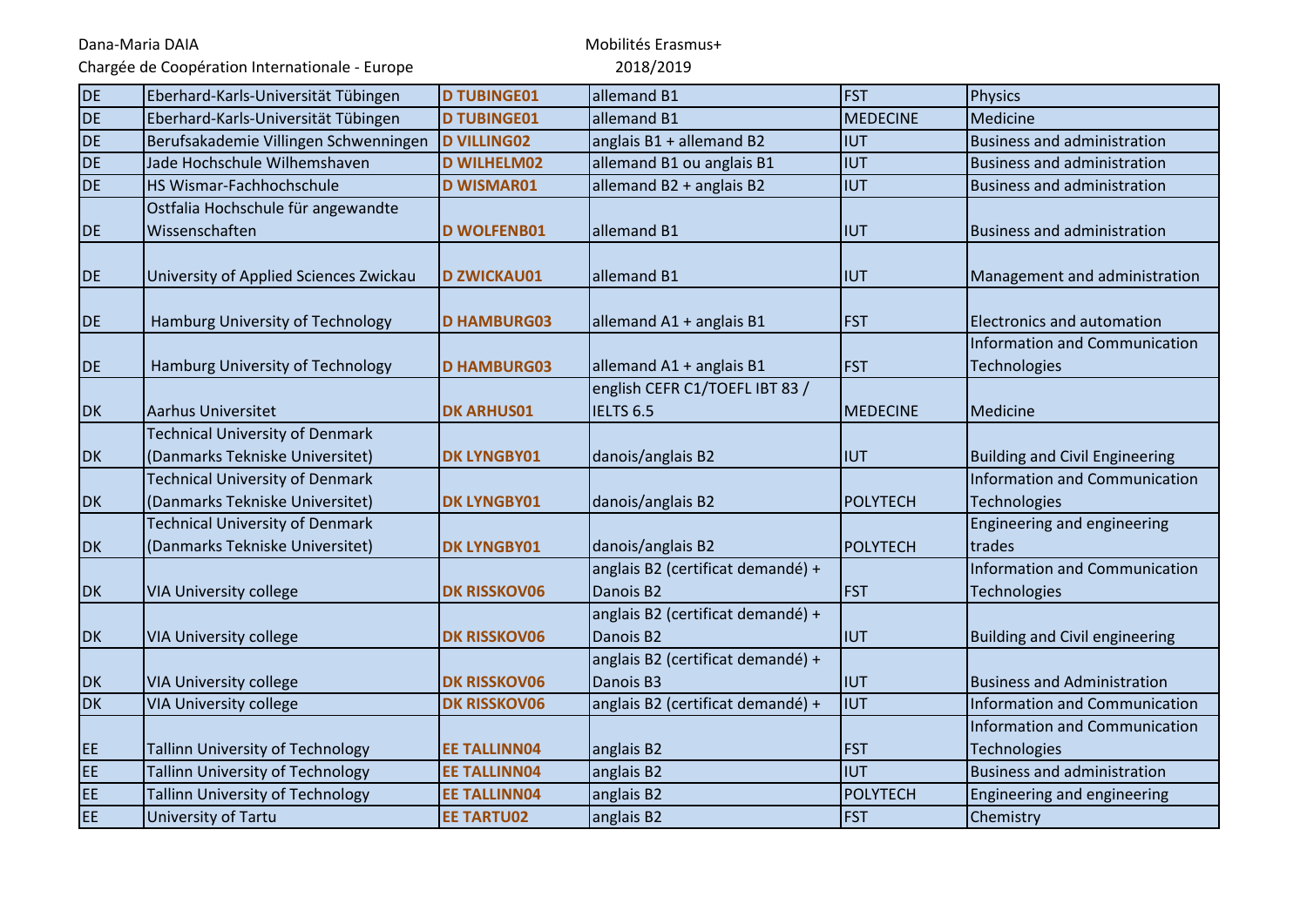Chargée de Coopération Internationale - Europe

| <b>DE</b> | Eberhard-Karls-Universität Tübingen     | <b>D TUBINGE01</b>  | allemand B1                       | <b>FST</b>      | Physics                               |
|-----------|-----------------------------------------|---------------------|-----------------------------------|-----------------|---------------------------------------|
| <b>DE</b> | Eberhard-Karls-Universität Tübingen     | <b>D TUBINGE01</b>  | allemand B1                       | <b>MEDECINE</b> | Medicine                              |
| <b>DE</b> | Berufsakademie Villingen Schwenningen   | <b>D VILLING02</b>  | anglais B1 + allemand B2          | <b>IUT</b>      | <b>Business and administration</b>    |
| DE        | Jade Hochschule Wilhemshaven            | <b>D WILHELM02</b>  | allemand B1 ou anglais B1         | <b>IUT</b>      | <b>Business and administration</b>    |
| <b>DE</b> | HS Wismar-Fachhochschule                | <b>D WISMAR01</b>   | allemand B2 + anglais B2          | <b>IUT</b>      | <b>Business and administration</b>    |
|           | Ostfalia Hochschule für angewandte      |                     |                                   |                 |                                       |
| <b>DE</b> | Wissenschaften                          | <b>D WOLFENB01</b>  | allemand B1                       | IIUT            | <b>Business and administration</b>    |
|           |                                         |                     |                                   |                 |                                       |
| <b>DE</b> | University of Applied Sciences Zwickau  | <b>D ZWICKAU01</b>  | allemand B1                       | <b>IIUT</b>     | Management and administration         |
|           |                                         |                     |                                   |                 |                                       |
| <b>DE</b> | Hamburg University of Technology        | <b>D HAMBURG03</b>  | allemand A1 + anglais B1          | <b>FST</b>      | <b>Electronics and automation</b>     |
|           |                                         |                     |                                   |                 | Information and Communication         |
| <b>DE</b> | Hamburg University of Technology        | <b>D HAMBURG03</b>  | allemand A1 + anglais B1          | <b>FST</b>      | Technologies                          |
|           |                                         |                     | english CEFR C1/TOEFL IBT 83 /    |                 |                                       |
| <b>DK</b> | <b>Aarhus Universitet</b>               | <b>DK ARHUS01</b>   | IELTS <sub>6.5</sub>              | MEDECINE        | Medicine                              |
|           | <b>Technical University of Denmark</b>  |                     |                                   |                 |                                       |
| <b>DK</b> | (Danmarks Tekniske Universitet)         | <b>DK LYNGBY01</b>  | danois/anglais B2                 | <b>IUT</b>      | <b>Building and Civil Engineering</b> |
|           | <b>Technical University of Denmark</b>  |                     |                                   |                 | Information and Communication         |
| <b>DK</b> | (Danmarks Tekniske Universitet)         | <b>DK LYNGBY01</b>  | danois/anglais B2                 | <b>POLYTECH</b> | Technologies                          |
|           | <b>Technical University of Denmark</b>  |                     |                                   |                 | Engineering and engineering           |
| <b>DK</b> | (Danmarks Tekniske Universitet)         | <b>DK LYNGBY01</b>  | danois/anglais B2                 | <b>POLYTECH</b> | trades                                |
|           |                                         |                     | anglais B2 (certificat demandé) + |                 | Information and Communication         |
| <b>DK</b> | <b>VIA University college</b>           | <b>DK RISSKOV06</b> | Danois B2                         | <b>FST</b>      | Technologies                          |
|           |                                         |                     | anglais B2 (certificat demandé) + |                 |                                       |
| <b>DK</b> | <b>VIA University college</b>           | <b>DK RISSKOV06</b> | Danois B2                         | IIUT            | <b>Building and Civil engineering</b> |
|           |                                         |                     | anglais B2 (certificat demandé) + |                 |                                       |
| <b>DK</b> | <b>VIA University college</b>           | <b>DK RISSKOV06</b> | Danois B3                         | <b>IIUT</b>     | <b>Business and Administration</b>    |
| <b>DK</b> | <b>VIA University college</b>           | <b>DK RISSKOV06</b> | anglais B2 (certificat demandé) + | <b>IUT</b>      | Information and Communication         |
|           |                                         |                     |                                   |                 | Information and Communication         |
| EE.       | <b>Tallinn University of Technology</b> | <b>EE TALLINN04</b> | anglais B2                        | <b>FST</b>      | Technologies                          |
| EE        | <b>Tallinn University of Technology</b> | <b>EE TALLINN04</b> | anglais B2                        | <b>IUT</b>      | <b>Business and administration</b>    |
| EE.       | <b>Tallinn University of Technology</b> | <b>EE TALLINN04</b> | anglais B2                        | <b>POLYTECH</b> | Engineering and engineering           |
| EE        | University of Tartu                     | <b>EE TARTU02</b>   | anglais B2                        | <b>FST</b>      | Chemistry                             |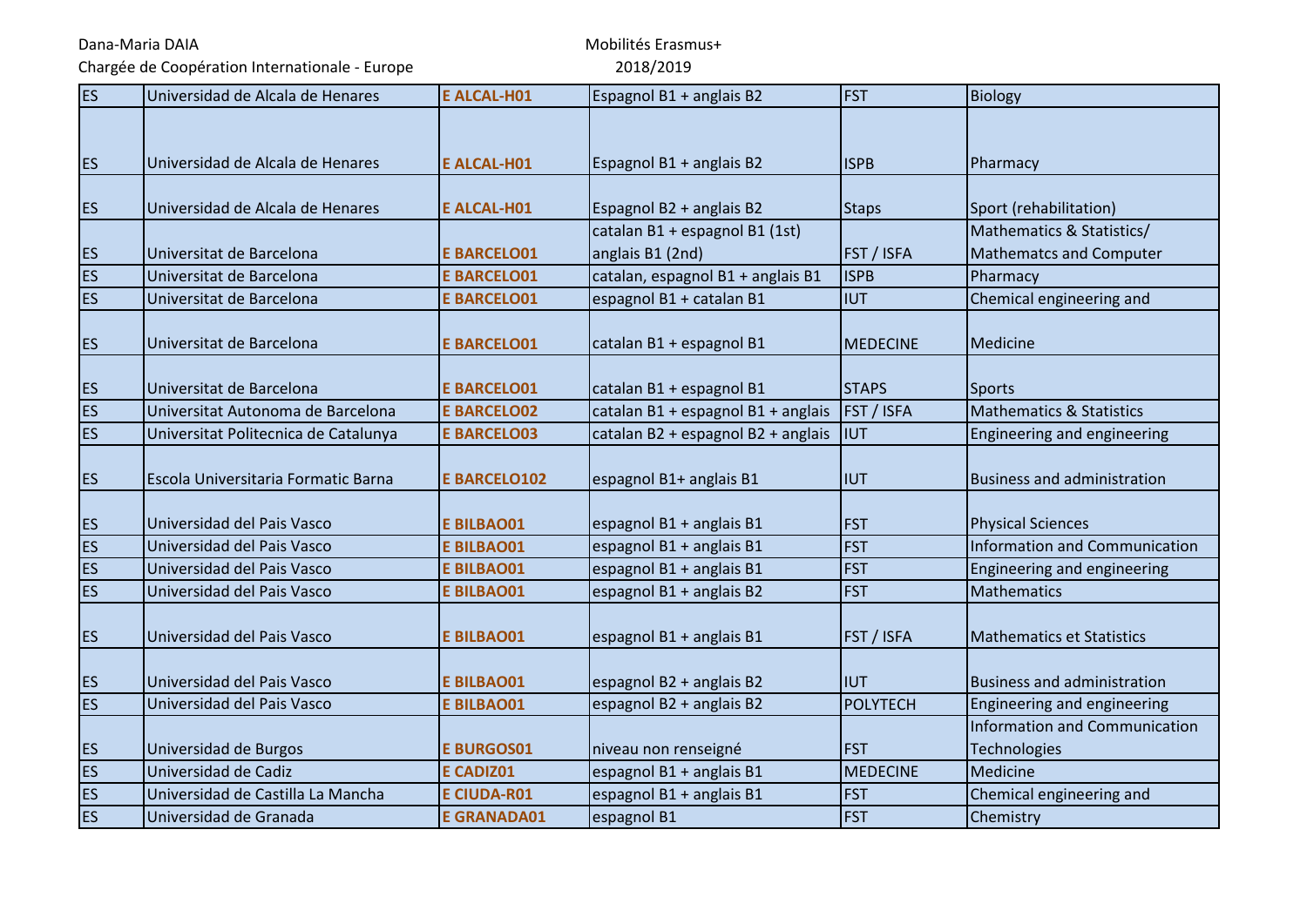Chargée de Coopération Internationale - Europe

| <b>ES</b> | Universidad de Alcala de Henares     | <b>E ALCAL-H01</b>  | Espagnol B1 + anglais B2           | <b>FST</b>        | <b>Biology</b>                       |
|-----------|--------------------------------------|---------------------|------------------------------------|-------------------|--------------------------------------|
|           |                                      |                     |                                    |                   |                                      |
| <b>ES</b> | Universidad de Alcala de Henares     | <b>E ALCAL-H01</b>  | Espagnol B1 + anglais B2           | <b>ISPB</b>       | Pharmacy                             |
|           |                                      |                     |                                    |                   |                                      |
| <b>ES</b> | Universidad de Alcala de Henares     | <b>E ALCAL-H01</b>  | Espagnol B2 + anglais B2           | <b>Staps</b>      | Sport (rehabilitation)               |
|           |                                      |                     | catalan B1 + espagnol B1 (1st)     |                   | Mathematics & Statistics/            |
| <b>ES</b> | Universitat de Barcelona             | <b>E BARCELO01</b>  | anglais B1 (2nd)                   | FST / ISFA        | <b>Mathematcs and Computer</b>       |
| <b>ES</b> | Universitat de Barcelona             | <b>E BARCELO01</b>  | catalan, espagnol B1 + anglais B1  | <b>ISPB</b>       | Pharmacy                             |
| <b>ES</b> | Universitat de Barcelona             | <b>E BARCELO01</b>  | espagnol B1 + catalan B1           | <b>IIUT</b>       | Chemical engineering and             |
|           |                                      |                     |                                    |                   |                                      |
| <b>ES</b> | Universitat de Barcelona             | <b>E BARCELO01</b>  | catalan B1 + espagnol B1           | <b>MEDECINE</b>   | Medicine                             |
|           |                                      |                     |                                    |                   |                                      |
| <b>ES</b> | Universitat de Barcelona             | <b>E BARCELO01</b>  | catalan B1 + espagnol B1           | <b>STAPS</b>      | Sports                               |
| <b>ES</b> | Universitat Autonoma de Barcelona    | <b>E BARCELO02</b>  | catalan B1 + espagnol B1 + anglais | <b>FST / ISFA</b> | <b>Mathematics &amp; Statistics</b>  |
| <b>ES</b> | Universitat Politecnica de Catalunya | <b>E BARCELO03</b>  | catalan B2 + espagnol B2 + anglais | <b>IIUT</b>       | Engineering and engineering          |
|           |                                      |                     |                                    |                   |                                      |
| <b>ES</b> | Escola Universitaria Formatic Barna  | <b>E BARCELO102</b> | espagnol B1+ anglais B1            | <b>IUT</b>        | <b>Business and administration</b>   |
|           |                                      |                     |                                    |                   |                                      |
| <b>ES</b> | Universidad del Pais Vasco           | <b>E BILBAO01</b>   | espagnol B1 + anglais B1           | <b>FST</b>        | <b>Physical Sciences</b>             |
| ES        | Universidad del Pais Vasco           | <b>E BILBAO01</b>   | espagnol B1 + anglais B1           | <b>FST</b>        | <b>Information and Communication</b> |
| ES        | Universidad del Pais Vasco           | <b>E BILBAO01</b>   | espagnol B1 + anglais B1           | <b>FST</b>        | Engineering and engineering          |
| <b>ES</b> | Universidad del Pais Vasco           | <b>E BILBAO01</b>   | espagnol B1 + anglais B2           | <b>FST</b>        | <b>Mathematics</b>                   |
|           |                                      |                     |                                    |                   |                                      |
| <b>ES</b> | Universidad del Pais Vasco           | <b>E BILBAO01</b>   | espagnol B1 + anglais B1           | FST / ISFA        | <b>Mathematics et Statistics</b>     |
|           |                                      |                     |                                    |                   |                                      |
| <b>ES</b> | Universidad del Pais Vasco           | <b>E BILBAO01</b>   | espagnol B2 + anglais B2           | <b>IIUT</b>       | <b>Business and administration</b>   |
| <b>ES</b> | Universidad del Pais Vasco           | <b>E BILBAO01</b>   | espagnol B2 + anglais B2           | <b>POLYTECH</b>   | Engineering and engineering          |
|           |                                      |                     |                                    |                   | <b>Information and Communication</b> |
| <b>ES</b> | Universidad de Burgos                | <b>E BURGOS01</b>   | niveau non renseigné               | <b>FST</b>        | <b>Technologies</b>                  |
| <b>ES</b> | Universidad de Cadiz                 | <b>E CADIZ01</b>    | espagnol B1 + anglais B1           | <b>MEDECINE</b>   | Medicine                             |
| <b>ES</b> | Universidad de Castilla La Mancha    | <b>E CIUDA-R01</b>  | espagnol B1 + anglais B1           | <b>FST</b>        | Chemical engineering and             |
| <b>ES</b> | Universidad de Granada               | <b>E GRANADA01</b>  | espagnol B1                        | <b>FST</b>        | Chemistry                            |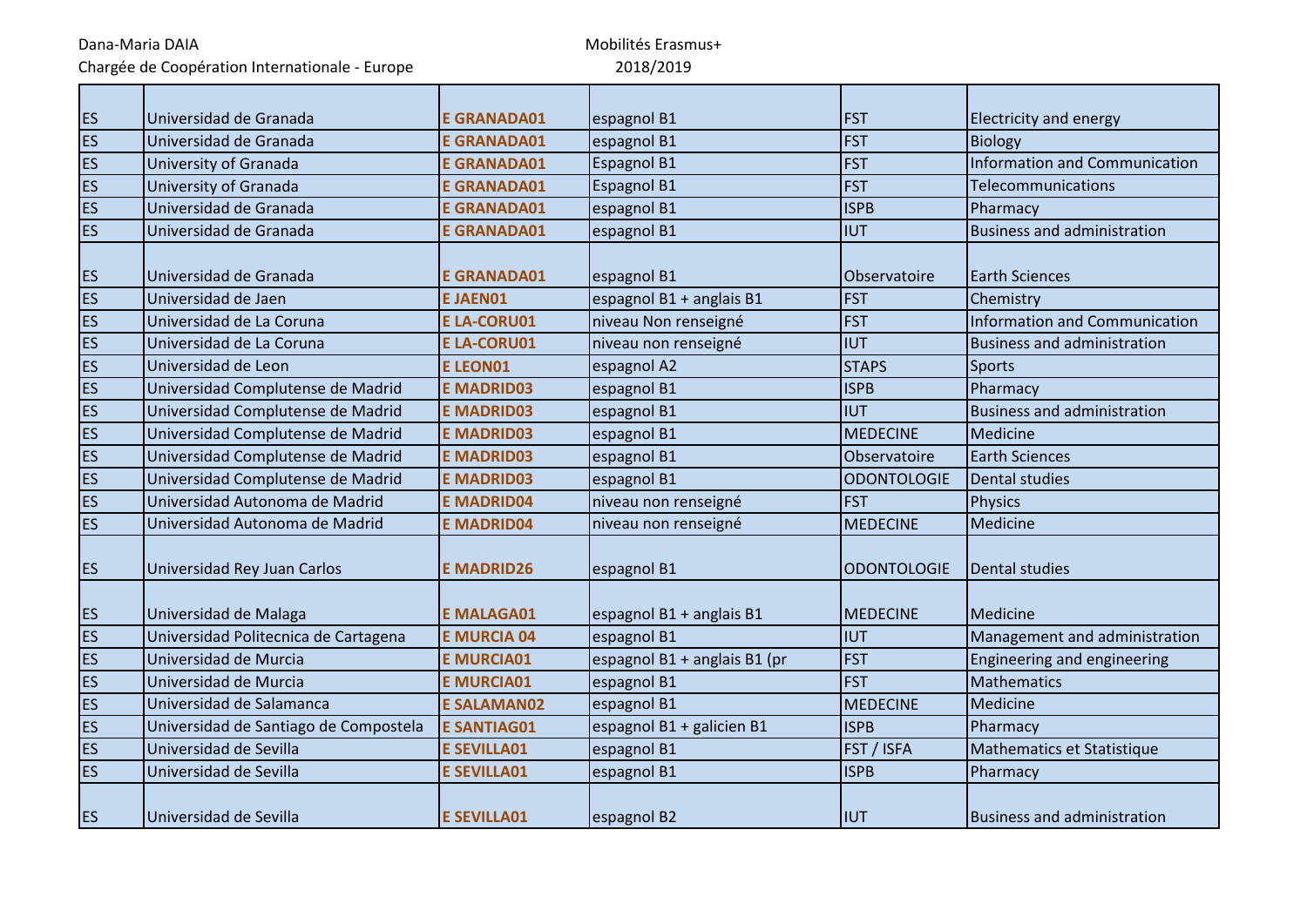Dana-Maria DAIA Chargée de Coopération Internationale - Europe

| ES        | Universidad de Granada                | <b>E GRANADA01</b> | espagnol B1                  | <b>FST</b>         | <b>Electricity and energy</b>        |
|-----------|---------------------------------------|--------------------|------------------------------|--------------------|--------------------------------------|
| ES        | Universidad de Granada                | <b>E GRANADA01</b> | espagnol B1                  | <b>FST</b>         | <b>Biology</b>                       |
| ES        | University of Granada                 | <b>E GRANADA01</b> | <b>Espagnol B1</b>           | <b>FST</b>         | <b>Information and Communication</b> |
| ES        | University of Granada                 | <b>E GRANADA01</b> | Espagnol B1                  | <b>FST</b>         | Telecommunications                   |
| ES        | Universidad de Granada                | <b>E GRANADA01</b> | espagnol B1                  | <b>ISPB</b>        | Pharmacy                             |
| ES        | Universidad de Granada                | <b>E GRANADA01</b> | espagnol B1                  | <b>IUT</b>         | <b>Business and administration</b>   |
|           |                                       |                    |                              |                    |                                      |
| ES        | Universidad de Granada                | <b>E GRANADA01</b> | espagnol B1                  | Observatoire       | <b>Earth Sciences</b>                |
| ES        | Universidad de Jaen                   | <b>EJAEN01</b>     | espagnol B1 + anglais B1     | <b>FST</b>         | Chemistry                            |
| ES        | Universidad de La Coruna              | <b>E LA-CORU01</b> | niveau Non renseigné         | <b>FST</b>         | <b>Information and Communication</b> |
| ES        | Universidad de La Coruna              | <b>E LA-CORU01</b> | niveau non renseigné         | <b>IUT</b>         | <b>Business and administration</b>   |
| ES        | Universidad de Leon                   | <b>ELEON01</b>     | espagnol A2                  | <b>STAPS</b>       | <b>Sports</b>                        |
| ES        | Universidad Complutense de Madrid     | <b>E MADRID03</b>  | espagnol B1                  | <b>ISPB</b>        | Pharmacy                             |
| ES        | Universidad Complutense de Madrid     | <b>E MADRID03</b>  | espagnol B1                  | <b>IUT</b>         | <b>Business and administration</b>   |
| ES        | Universidad Complutense de Madrid     | <b>E MADRID03</b>  | espagnol B1                  | <b>MEDECINE</b>    | Medicine                             |
| ES        | Universidad Complutense de Madrid     | <b>E MADRID03</b>  | espagnol B1                  | Observatoire       | <b>Earth Sciences</b>                |
| ES        | Universidad Complutense de Madrid     | <b>E MADRID03</b>  | espagnol B1                  | <b>ODONTOLOGIE</b> | Dental studies                       |
| <b>ES</b> | Universidad Autonoma de Madrid        | <b>E MADRID04</b>  | niveau non renseigné         | <b>FST</b>         | <b>Physics</b>                       |
| ES        | Universidad Autonoma de Madrid        | <b>E MADRID04</b>  | niveau non renseigné         | <b>MEDECINE</b>    | <b>Medicine</b>                      |
| ES        | Universidad Rey Juan Carlos           | <b>E MADRID26</b>  | espagnol B1                  | <b>ODONTOLOGIE</b> | Dental studies                       |
| ES        | Universidad de Malaga                 | <b>E MALAGA01</b>  | espagnol B1 + anglais B1     | <b>MEDECINE</b>    | Medicine                             |
| ES        | Universidad Politecnica de Cartagena  | <b>E MURCIA 04</b> | espagnol B1                  | <b>IUT</b>         | Management and administration        |
| ES        | Universidad de Murcia                 | <b>E MURCIA01</b>  | espagnol B1 + anglais B1 (pr | <b>FST</b>         | Engineering and engineering          |
| ES        | Universidad de Murcia                 | <b>E MURCIA01</b>  | espagnol B1                  | <b>FST</b>         | <b>Mathematics</b>                   |
| ES        | Universidad de Salamanca              | <b>E SALAMAN02</b> | espagnol B1                  | <b>MEDECINE</b>    | Medicine                             |
| ES        | Universidad de Santiago de Compostela | <b>E SANTIAG01</b> | espagnol B1 + galicien B1    | <b>ISPB</b>        | Pharmacy                             |
| ES        | Universidad de Sevilla                | <b>E SEVILLA01</b> | espagnol B1                  | FST / ISFA         | Mathematics et Statistique           |
| ES        | Universidad de Sevilla                | <b>E SEVILLA01</b> | espagnol B1                  | <b>ISPB</b>        | Pharmacy                             |
| <b>ES</b> | Universidad de Sevilla                | <b>E SEVILLA01</b> | espagnol B2                  | <b>IUT</b>         | <b>Business and administration</b>   |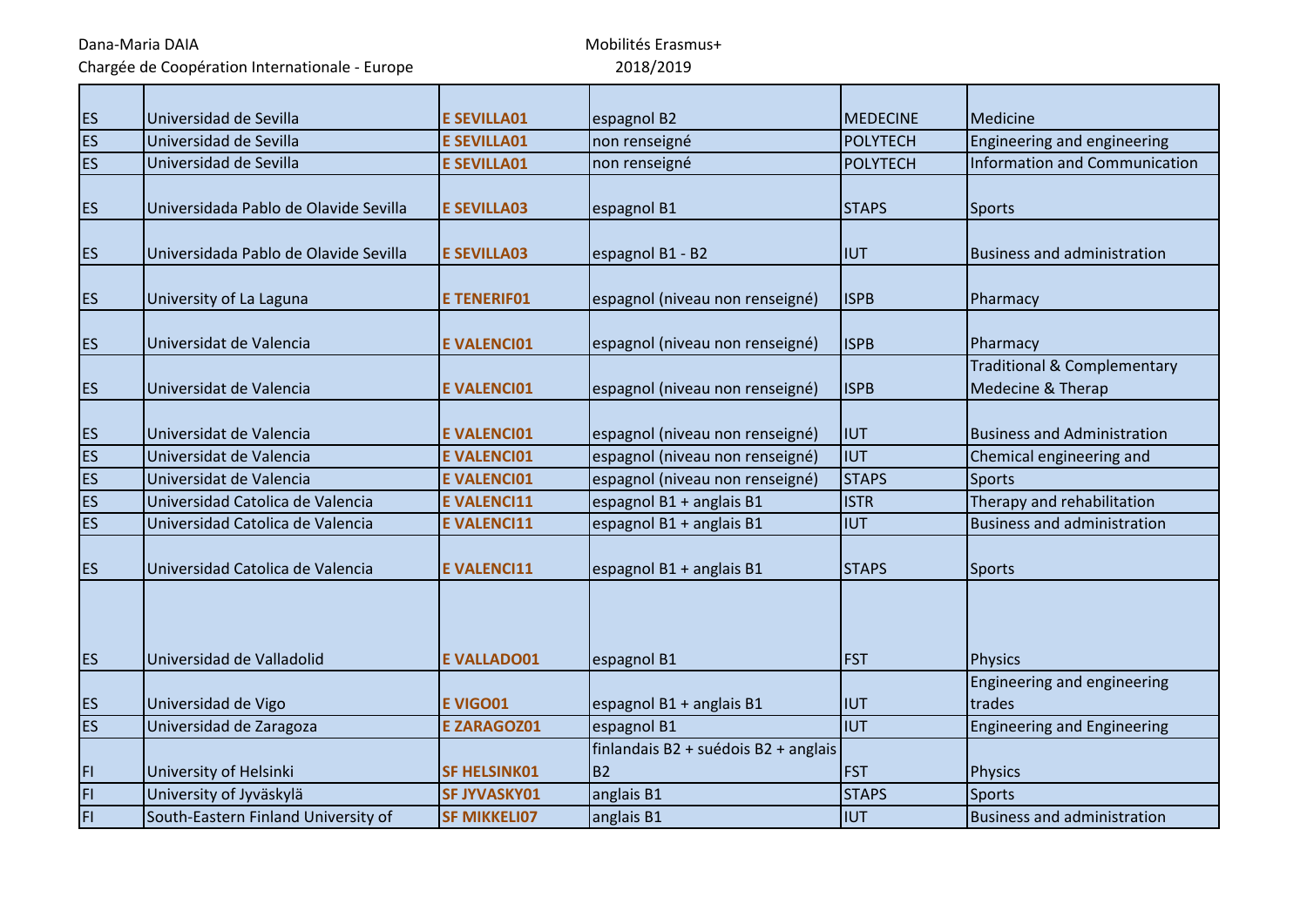Chargée de Coopération Internationale - Europe

| <b>ES</b> | Universidad de Sevilla                | <b>E SEVILLA01</b>  | espagnol B2                          | <b>MEDECINE</b> | Medicine                                                    |
|-----------|---------------------------------------|---------------------|--------------------------------------|-----------------|-------------------------------------------------------------|
| <b>ES</b> | Universidad de Sevilla                | <b>E SEVILLA01</b>  | non renseigné                        | <b>POLYTECH</b> | Engineering and engineering                                 |
| <b>ES</b> | Universidad de Sevilla                | <b>E SEVILLA01</b>  | non renseigné                        | <b>POLYTECH</b> | Information and Communication                               |
| <b>ES</b> | Universidada Pablo de Olavide Sevilla | <b>E SEVILLA03</b>  | espagnol B1                          | <b>STAPS</b>    | <b>Sports</b>                                               |
| <b>ES</b> | Universidada Pablo de Olavide Sevilla | <b>E SEVILLA03</b>  | espagnol B1 - B2                     | IUT             | <b>Business and administration</b>                          |
| <b>ES</b> | University of La Laguna               | <b>E TENERIF01</b>  | espagnol (niveau non renseigné)      | <b>ISPB</b>     | Pharmacy                                                    |
| <b>ES</b> | Universidat de Valencia               | <b>E VALENCIO1</b>  | espagnol (niveau non renseigné)      | <b>ISPB</b>     | Pharmacy                                                    |
| <b>ES</b> | Universidat de Valencia               | <b>E VALENCI01</b>  | espagnol (niveau non renseigné)      | <b>ISPB</b>     | <b>Traditional &amp; Complementary</b><br>Medecine & Therap |
| <b>ES</b> | Universidat de Valencia               | <b>E VALENCI01</b>  | espagnol (niveau non renseigné)      | <b>IUT</b>      | <b>Business and Administration</b>                          |
| ES        | Universidat de Valencia               | <b>E VALENCI01</b>  | espagnol (niveau non renseigné)      | <b>IUT</b>      | Chemical engineering and                                    |
| ES        | Universidat de Valencia               | <b>E VALENCI01</b>  | espagnol (niveau non renseigné)      | <b>STAPS</b>    | <b>Sports</b>                                               |
| <b>ES</b> | Universidad Catolica de Valencia      | <b>EVALENCI11</b>   | espagnol B1 + anglais B1             | <b>ISTR</b>     | Therapy and rehabilitation                                  |
| <b>ES</b> | Universidad Catolica de Valencia      | <b>E VALENCI11</b>  | espagnol B1 + anglais B1             | <b>IUT</b>      | <b>Business and administration</b>                          |
| <b>ES</b> | Universidad Catolica de Valencia      | <b>E VALENCI11</b>  | espagnol B1 + anglais B1             | <b>STAPS</b>    | <b>Sports</b>                                               |
| <b>ES</b> | Universidad de Valladolid             | <b>E VALLADO01</b>  | espagnol B1                          | <b>FST</b>      | <b>Physics</b>                                              |
| <b>ES</b> | Universidad de Vigo                   | <b>EVIGO01</b>      | espagnol B1 + anglais B1             | <b>IUT</b>      | Engineering and engineering<br>trades                       |
| <b>ES</b> | Universidad de Zaragoza               | <b>E ZARAGOZ01</b>  | espagnol B1                          | <b>IIUT</b>     | <b>Engineering and Engineering</b>                          |
|           |                                       |                     | finlandais B2 + suédois B2 + anglais |                 |                                                             |
| FI        | University of Helsinki                | <b>SF HELSINK01</b> | <b>B2</b>                            | <b>FST</b>      | <b>Physics</b>                                              |
| FI        | University of Jyväskylä               | <b>SF JYVASKY01</b> | anglais B1                           | <b>STAPS</b>    | <b>Sports</b>                                               |
| FI        | South-Eastern Finland University of   | <b>SF MIKKELI07</b> | anglais B1                           | <b>IUT</b>      | <b>Business and administration</b>                          |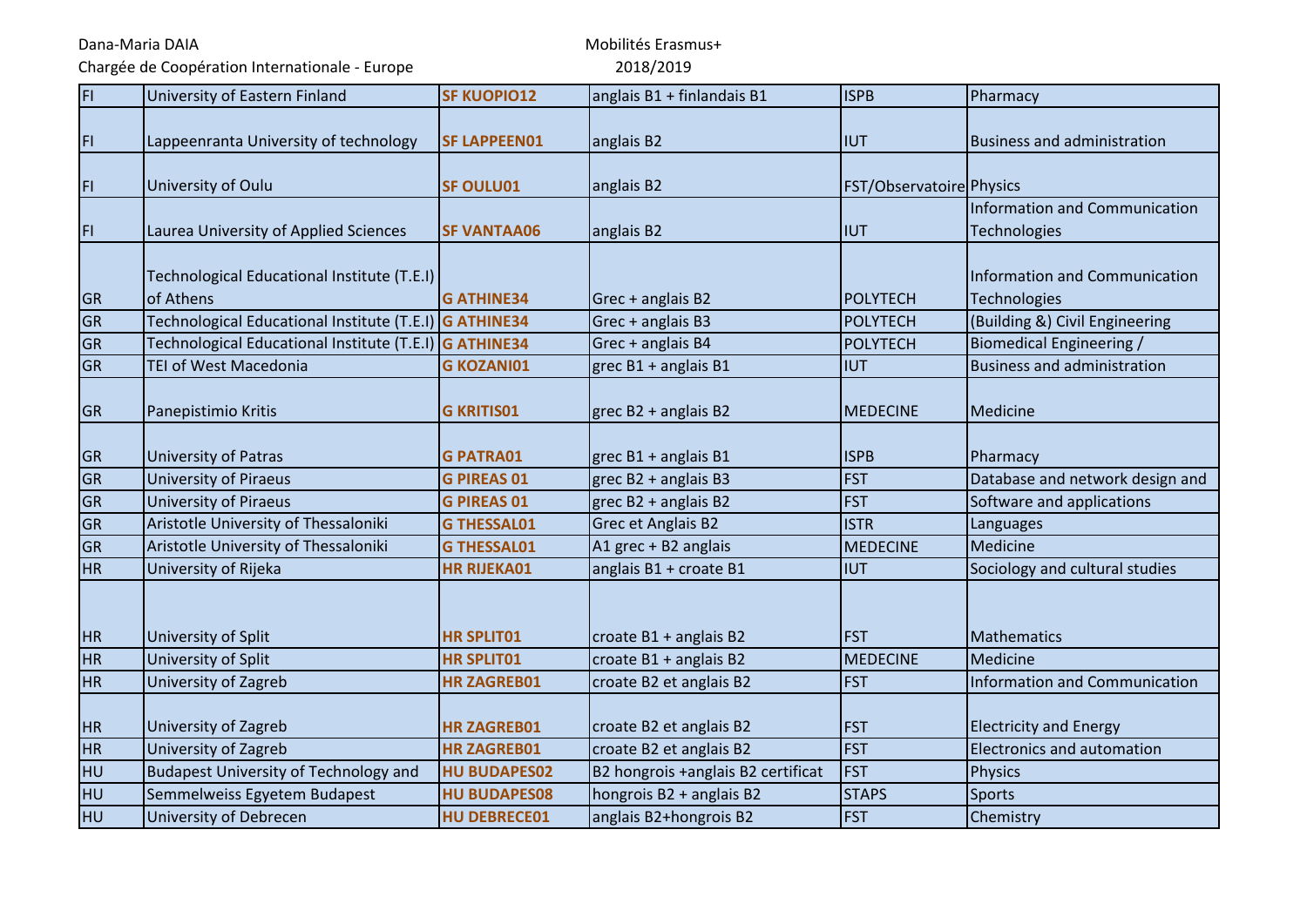Chargée de Coopération Internationale - Europe

| $\overline{H}$ | University of Eastern Finland                                 | <b>SF KUOPIO12</b>  | anglais B1 + finlandais B1         | <b>ISPB</b>              | Pharmacy                                                    |
|----------------|---------------------------------------------------------------|---------------------|------------------------------------|--------------------------|-------------------------------------------------------------|
| FI.            | Lappeenranta University of technology                         | <b>SF LAPPEEN01</b> | anglais B2                         | Iiut                     | <b>Business and administration</b>                          |
| FI.            | University of Oulu                                            | <b>SF OULU01</b>    | anglais B2                         | FST/Observatoire Physics |                                                             |
| FI             | Laurea University of Applied Sciences                         | <b>SF VANTAA06</b>  | anglais B2                         | <b>IIUT</b>              | <b>Information and Communication</b><br>Technologies        |
| <b>GR</b>      | Technological Educational Institute (T.E.I)<br>of Athens      | <b>G ATHINE34</b>   | Grec + anglais B2                  | POLYTECH                 | <b>Information and Communication</b><br><b>Technologies</b> |
| GR             | Technological Educational Institute (T.E.I) G ATHINE34        |                     | Grec + anglais B3                  | <b>POLYTECH</b>          | (Building &) Civil Engineering                              |
| <b>GR</b>      | Technological Educational Institute (T.E.I) <b>G ATHINE34</b> |                     | Grec + anglais B4                  | POLYTECH                 | <b>Biomedical Engineering /</b>                             |
| <b>GR</b>      | TEI of West Macedonia                                         | <b>G KOZANI01</b>   | grec B1 + anglais B1               | <b>IUT</b>               | <b>Business and administration</b>                          |
| <b>GR</b>      | Panepistimio Kritis                                           | <b>G KRITIS01</b>   | grec $B2 + anglais B2$             | <b>MEDECINE</b>          | Medicine                                                    |
| GR             | <b>University of Patras</b>                                   | <b>G PATRA01</b>    | grec $B1 + anglais B1$             | <b>ISPB</b>              | Pharmacy                                                    |
| GR             | <b>University of Piraeus</b>                                  | <b>G PIREAS 01</b>  | grec $B2 + anglais B3$             | <b>FST</b>               | Database and network design and                             |
| GR             | <b>University of Piraeus</b>                                  | <b>G PIREAS 01</b>  | grec B2 + anglais B2               | <b>FST</b>               | Software and applications                                   |
| GR             | Aristotle University of Thessaloniki                          | <b>G THESSAL01</b>  | Grec et Anglais B2                 | <b>ISTR</b>              | Languages                                                   |
| <b>GR</b>      | Aristotle University of Thessaloniki                          | <b>G THESSAL01</b>  | A1 grec + B2 anglais               | <b>MEDECINE</b>          | Medicine                                                    |
| <b>HR</b>      | University of Rijeka                                          | <b>HR RIJEKA01</b>  | anglais B1 + croate B1             | <b>IUT</b>               | Sociology and cultural studies                              |
| <b>HR</b>      | University of Split                                           | <b>HR SPLIT01</b>   | croate B1 + anglais B2             | <b>FST</b>               | Mathematics                                                 |
| <b>HR</b>      | University of Split                                           | <b>HR SPLIT01</b>   | croate B1 + anglais B2             | <b>MEDECINE</b>          | Medicine                                                    |
| <b>HR</b>      | University of Zagreb                                          | <b>HR ZAGREB01</b>  | croate B2 et anglais B2            | <b>FST</b>               | Information and Communication                               |
| <b>HR</b>      | University of Zagreb                                          | <b>HR ZAGREB01</b>  | croate B2 et anglais B2            | <b>FST</b>               | <b>Electricity and Energy</b>                               |
| <b>HR</b>      | University of Zagreb                                          | <b>HR ZAGREB01</b>  | croate B2 et anglais B2            | <b>FST</b>               | Electronics and automation                                  |
| <b>HU</b>      | <b>Budapest University of Technology and</b>                  | <b>HU BUDAPES02</b> | B2 hongrois +anglais B2 certificat | <b>FST</b>               | <b>Physics</b>                                              |
| <b>HU</b>      | Semmelweiss Egyetem Budapest                                  | <b>HU BUDAPES08</b> | hongrois B2 + anglais B2           | <b>STAPS</b>             | <b>Sports</b>                                               |
| HU             | University of Debrecen                                        | <b>HU DEBRECE01</b> | anglais B2+hongrois B2             | <b>FST</b>               | Chemistry                                                   |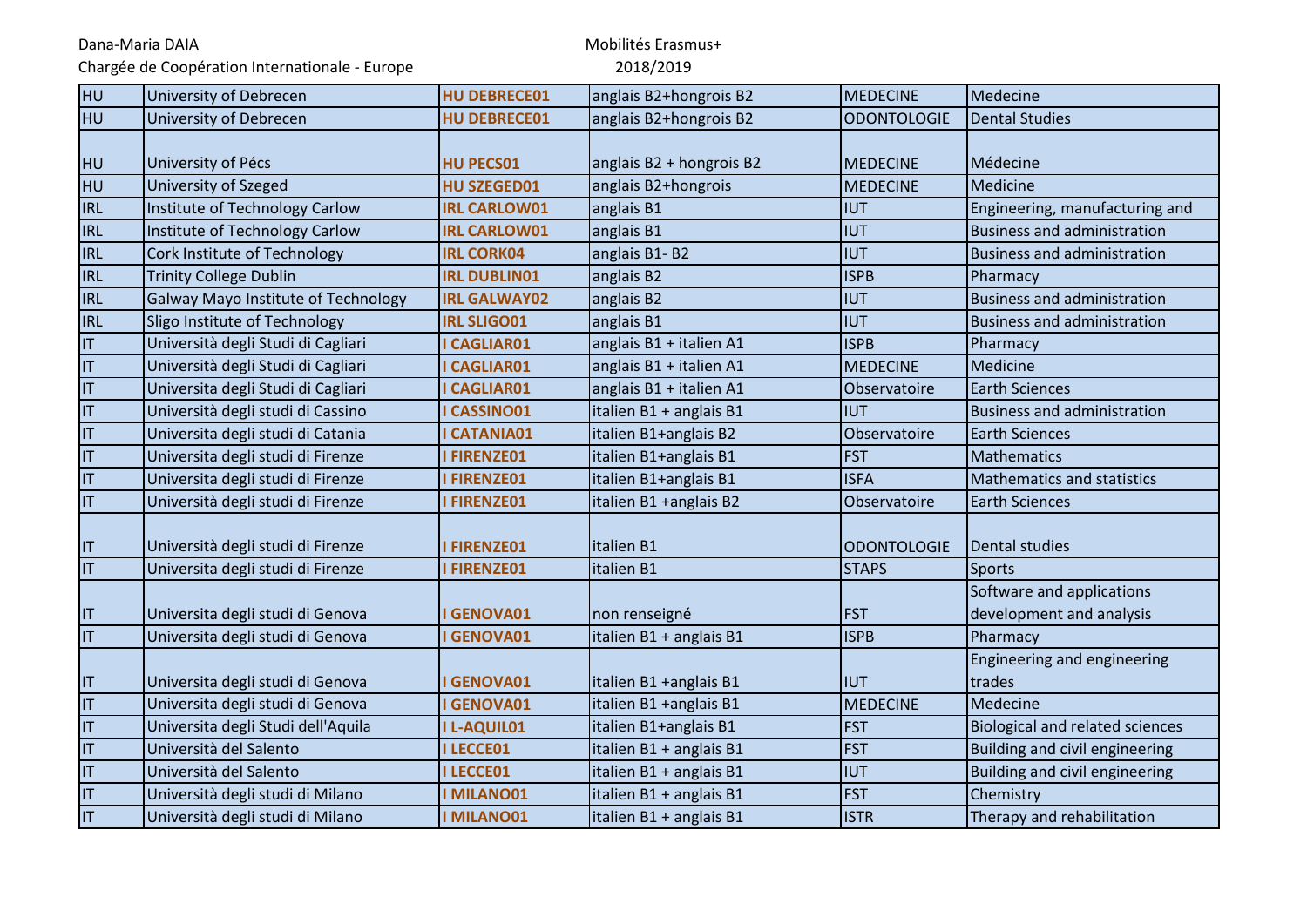Dana-Maria DAIA Chargée de Coopération Internationale - Europe

### Mobilités Erasmus+ 201

| 18/2019 |  |
|---------|--|
|---------|--|

| HU                     | University of Debrecen              | <b>HU DEBRECE01</b> | anglais B2+hongrois B2   | <b>MEDECINE</b>    | Medecine                                              |
|------------------------|-------------------------------------|---------------------|--------------------------|--------------------|-------------------------------------------------------|
| HU                     | University of Debrecen              | <b>HU DEBRECE01</b> | anglais B2+hongrois B2   | <b>ODONTOLOGIE</b> | <b>Dental Studies</b>                                 |
| HU                     | University of Pécs                  | <b>HU PECS01</b>    | anglais B2 + hongrois B2 | <b>MEDECINE</b>    | Médecine                                              |
| <b>HU</b>              | <b>University of Szeged</b>         | <b>HU SZEGED01</b>  | anglais B2+hongrois      | <b>MEDECINE</b>    | Medicine                                              |
| <b>IRL</b>             | Institute of Technology Carlow      | <b>IRL CARLOW01</b> | anglais B1               | <b>IUT</b>         | Engineering, manufacturing and                        |
| <b>IRL</b>             | Institute of Technology Carlow      | <b>IRL CARLOW01</b> | anglais B1               | <b>IUT</b>         | <b>Business and administration</b>                    |
| <b>IRL</b>             | Cork Institute of Technology        | <b>IRL CORK04</b>   | anglais B1-B2            | <b>IUT</b>         | <b>Business and administration</b>                    |
| <b>IRL</b>             | <b>Trinity College Dublin</b>       | <b>IRL DUBLIN01</b> | anglais B2               | <b>ISPB</b>        | Pharmacy                                              |
| <b>IRL</b>             | Galway Mayo Institute of Technology | <b>IRL GALWAY02</b> | anglais B2               | <b>IUT</b>         | <b>Business and administration</b>                    |
| <b>IRL</b>             | Sligo Institute of Technology       | <b>IRL SLIGO01</b>  | anglais B1               | <b>IUT</b>         | <b>Business and administration</b>                    |
| $\mathsf{I}\mathsf{T}$ | Università degli Studi di Cagliari  | <b>CAGLIAR01</b>    | anglais B1 + italien A1  | <b>ISPB</b>        | Pharmacy                                              |
| IT                     | Università degli Studi di Cagliari  | <b>CAGLIAR01</b>    | anglais B1 + italien A1  | <b>MEDECINE</b>    | Medicine                                              |
| IT                     | Universita degli Studi di Cagliari  | <b>CAGLIAR01</b>    | anglais B1 + italien A1  | Observatoire       | <b>Earth Sciences</b>                                 |
| IT                     | Università degli studi di Cassino   | <b>CASSINO01</b>    | italien B1 + anglais B1  | <b>IUT</b>         | <b>Business and administration</b>                    |
| T                      | Universita degli studi di Catania   | <b>CATANIA01</b>    | italien B1+anglais B2    | Observatoire       | <b>Earth Sciences</b>                                 |
| IT                     | Universita degli studi di Firenze   | <b>IFIRENZE01</b>   | italien B1+anglais B1    | <b>FST</b>         | <b>Mathematics</b>                                    |
| IT                     | Universita degli studi di Firenze   | <b>IFIRENZE01</b>   | italien B1+anglais B1    | <b>ISFA</b>        | <b>Mathematics and statistics</b>                     |
| IT                     | Università degli studi di Firenze   | I FIRENZE01         | italien B1 +anglais B2   | Observatoire       | <b>Earth Sciences</b>                                 |
| $\mathsf{I}\mathsf{T}$ | Università degli studi di Firenze   | I FIRENZE01         | italien B1               | <b>ODONTOLOGIE</b> | <b>Dental studies</b>                                 |
| IT                     | Universita degli studi di Firenze   | <b>IFIRENZE01</b>   | italien B1               | <b>STAPS</b>       | <b>Sports</b>                                         |
| IT                     | Universita degli studi di Genova    | <b>GENOVA01</b>     | non renseigné            | <b>FST</b>         | Software and applications<br>development and analysis |
| IT                     | Universita degli studi di Genova    | <b>GENOVA01</b>     | italien B1 + anglais B1  | <b>ISPB</b>        | Pharmacy                                              |
| IT                     | Universita degli studi di Genova    | <b>GENOVA01</b>     | italien B1 +anglais B1   | <b>IUT</b>         | Engineering and engineering<br>trades                 |
| $\mathsf{I}\mathsf{T}$ | Universita degli studi di Genova    | <b>I GENOVA01</b>   | italien B1 +anglais B1   | <b>MEDECINE</b>    | Medecine                                              |
| IT                     | Universita degli Studi dell'Aquila  | <b>IL-AQUIL01</b>   | italien B1+anglais B1    | <b>FST</b>         | <b>Biological and related sciences</b>                |
| IT                     | Università del Salento              | I LECCE01           | italien B1 + anglais B1  | <b>FST</b>         | Building and civil engineering                        |
| IT                     | Università del Salento              | I LECCE01           | italien B1 + anglais B1  | <b>IUT</b>         | Building and civil engineering                        |
| IT                     | Università degli studi di Milano    | <b>I MILANO01</b>   | italien B1 + anglais B1  | <b>FST</b>         | Chemistry                                             |
| IT                     | Università degli studi di Milano    | <b>I MILANO01</b>   | italien B1 + anglais B1  | <b>ISTR</b>        | Therapy and rehabilitation                            |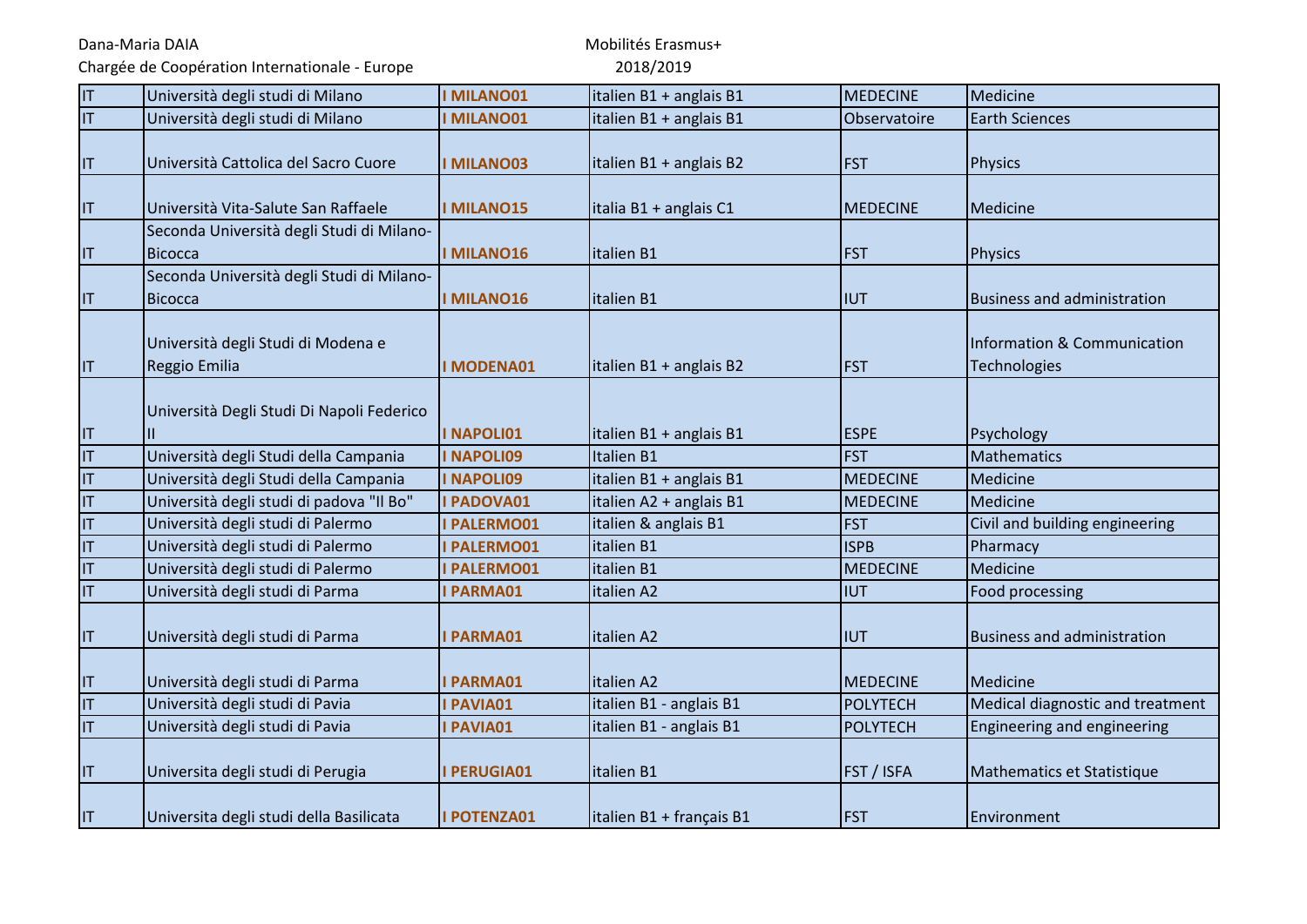Chargée de Coopération Internationale - Europe

| $ \mathsf{T} $           | Università degli studi di Milano          | <b>I MILANO01</b>  | italien B1 + anglais B1  | <b>MEDECINE</b> | Medicine                           |
|--------------------------|-------------------------------------------|--------------------|--------------------------|-----------------|------------------------------------|
| IT                       | Università degli studi di Milano          | <b>I MILANO01</b>  | italien B1 + anglais B1  | Observatoire    | <b>Earth Sciences</b>              |
|                          |                                           |                    |                          |                 |                                    |
| IT                       | Università Cattolica del Sacro Cuore      | <b>I MILANO03</b>  | italien B1 + anglais B2  | <b>FST</b>      | <b>Physics</b>                     |
|                          |                                           |                    |                          |                 |                                    |
| IT                       | Università Vita-Salute San Raffaele       | <b>I MILANO15</b>  | italia B1 + anglais C1   | MEDECINE        | Medicine                           |
|                          | Seconda Università degli Studi di Milano- |                    |                          |                 |                                    |
| IT                       | <b>Bicocca</b>                            | <b>I MILANO16</b>  | italien B1               | <b>FST</b>      | <b>Physics</b>                     |
|                          | Seconda Università degli Studi di Milano- |                    |                          |                 |                                    |
| IT                       | <b>Bicocca</b>                            | <b>I MILANO16</b>  | italien B1               | <b>IUT</b>      | <b>Business and administration</b> |
|                          |                                           |                    |                          |                 |                                    |
|                          | Università degli Studi di Modena e        |                    |                          |                 | Information & Communication        |
| IT                       | Reggio Emilia                             | <b>I MODENA01</b>  | italien B1 + anglais B2  | <b>FST</b>      | Technologies                       |
|                          |                                           |                    |                          |                 |                                    |
|                          | Università Degli Studi Di Napoli Federico |                    |                          |                 |                                    |
| IT                       | $\mathsf{II}$                             | I NAPOLI01         | italien B1 + anglais B1  | <b>ESPE</b>     | Psychology                         |
| $ \mathsf{T} $           | Università degli Studi della Campania     | <b>INAPOLI09</b>   | <b>Italien B1</b>        | <b>FST</b>      | Mathematics                        |
| İП                       | Università degli Studi della Campania     | I NAPOLI09         | italien B1 + anglais B1  | <b>MEDECINE</b> | Medicine                           |
| IT                       | Università degli studi di padova "Il Bo"  | I PADOVA01         | italien A2 + anglais B1  | <b>MEDECINE</b> | Medicine                           |
| IT                       | Università degli studi di Palermo         | I PALERMO01        | italien & anglais B1     | <b>FST</b>      | Civil and building engineering     |
| $\overline{\mathsf{IT}}$ | Università degli studi di Palermo         | I PALERMO01        | italien B1               | <b>ISPB</b>     | Pharmacy                           |
| IT                       | Università degli studi di Palermo         | I PALERMO01        | italien B1               | <b>MEDECINE</b> | Medicine                           |
| $ \mathsf{T} $           | Università degli studi di Parma           | I PARMA01          | italien A2               | <b>IUT</b>      | Food processing                    |
|                          |                                           |                    |                          |                 |                                    |
| <b>IT</b>                | Università degli studi di Parma           | I PARMA01          | italien A2               | <b>IUT</b>      | <b>Business and administration</b> |
|                          |                                           |                    |                          |                 |                                    |
| IT                       | Università degli studi di Parma           | <b>I PARMA01</b>   | italien A2               | <b>MEDECINE</b> | Medicine                           |
| $ \mathsf{T} $           | Università degli studi di Pavia           | I PAVIA01          | italien B1 - anglais B1  | <b>POLYTECH</b> | Medical diagnostic and treatment   |
| İП                       | Università degli studi di Pavia           | I PAVIA01          | italien B1 - anglais B1  | <b>POLYTECH</b> | <b>Engineering and engineering</b> |
|                          |                                           |                    |                          |                 |                                    |
| IT                       | Universita degli studi di Perugia         | I PERUGIA01        | italien B1               | FST / ISFA      | Mathematics et Statistique         |
|                          |                                           |                    |                          |                 |                                    |
| IT                       | Universita degli studi della Basilicata   | <b>I POTENZA01</b> | italien B1 + français B1 | <b>FST</b>      | Environment                        |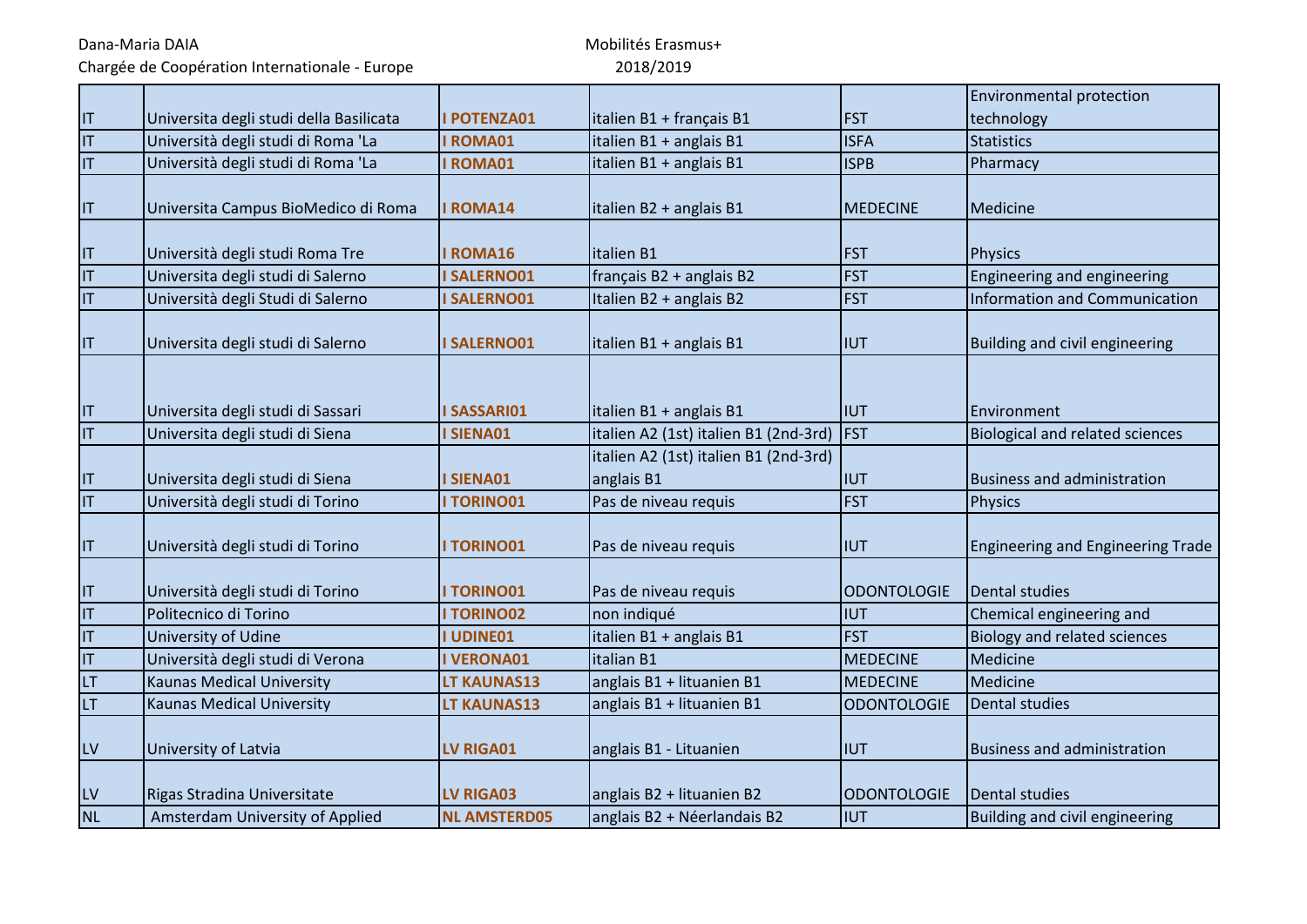Chargée de Coopération Internationale - Europe

|                         |                                         |                     |                                       |                    | <b>Environmental protection</b>          |
|-------------------------|-----------------------------------------|---------------------|---------------------------------------|--------------------|------------------------------------------|
| IT                      | Universita degli studi della Basilicata | <b>POTENZA01</b>    | italien B1 + français B1              | <b>FST</b>         | technology                               |
| $\overline{\mathsf{I}}$ | Università degli studi di Roma 'La      | <b>I ROMA01</b>     | italien B1 + anglais B1               | <b>ISFA</b>        | <b>Statistics</b>                        |
| IT                      | Università degli studi di Roma 'La      | <b>I ROMA01</b>     | italien B1 + anglais B1               | <b>ISPB</b>        | Pharmacy                                 |
|                         |                                         |                     |                                       |                    |                                          |
| IT                      | Universita Campus BioMedico di Roma     | <b>I ROMA14</b>     | italien B2 + anglais B1               | <b>MEDECINE</b>    | Medicine                                 |
| IT                      | Università degli studi Roma Tre         | <b>ROMA16</b>       | italien B1                            | <b>FST</b>         | <b>Physics</b>                           |
| $\mathsf{I}\mathsf{T}$  | Universita degli studi di Salerno       | <b>ISALERNO01</b>   | français B2 + anglais B2              | <b>FST</b>         | Engineering and engineering              |
| IT                      | Università degli Studi di Salerno       | <b>ISALERNO01</b>   | Italien B2 + anglais B2               | <b>FST</b>         | Information and Communication            |
| $\mathsf{I}\mathsf{T}$  | Universita degli studi di Salerno       | <b>ISALERNO01</b>   | italien B1 + anglais B1               | <b>IUT</b>         | Building and civil engineering           |
| $\mathsf{I}\mathsf{T}$  | Universita degli studi di Sassari       | <b>ISASSARI01</b>   | italien B1 + anglais B1               | IIUT               | Environment                              |
| $\mathsf{I}\mathsf{T}$  | Universita degli studi di Siena         | <b>SIENA01</b>      | italien A2 (1st) italien B1 (2nd-3rd) | <b>FST</b>         | <b>Biological and related sciences</b>   |
|                         |                                         |                     | italien A2 (1st) italien B1 (2nd-3rd) |                    |                                          |
| IT                      | Universita degli studi di Siena         | I SIENA01           | anglais B1                            | <b>IUT</b>         | <b>Business and administration</b>       |
| IT                      | Università degli studi di Torino        | <b>I TORINO01</b>   | Pas de niveau requis                  | <b>FST</b>         | <b>Physics</b>                           |
| IT                      | Università degli studi di Torino        | <b>I TORINO01</b>   | Pas de niveau requis                  | <b>IIUT</b>        | <b>Engineering and Engineering Trade</b> |
| T                       | Università degli studi di Torino        | <b>I TORINO01</b>   | Pas de niveau requis                  | ODONTOLOGIE        | Dental studies                           |
| $ \mathsf{T} $          | Politecnico di Torino                   | <b>I TORINO02</b>   | non indiqué                           | <b>IUT</b>         | Chemical engineering and                 |
| IT                      | University of Udine                     | <b>I UDINE01</b>    | italien B1 + anglais B1               | <b>FST</b>         | <b>Biology and related sciences</b>      |
| IT                      | Università degli studi di Verona        | <b>IVERONA01</b>    | italian B1                            | <b>MEDECINE</b>    | Medicine                                 |
| LT                      | <b>Kaunas Medical University</b>        | LT KAUNAS13         | anglais B1 + lituanien B1             | MEDECINE           | Medicine                                 |
| LT                      | <b>Kaunas Medical University</b>        | LT KAUNAS13         | anglais B1 + lituanien B1             | <b>ODONTOLOGIE</b> | <b>Dental studies</b>                    |
| ${\sf L}{\sf V}$        | University of Latvia                    | LV RIGA01           | anglais B1 - Lituanien                | <b>IIUT</b>        | Business and administration              |
| LV                      | Rigas Stradina Universitate             | <b>LV RIGA03</b>    | anglais B2 + lituanien B2             | <b>ODONTOLOGIE</b> | Dental studies                           |
| <b>NL</b>               | Amsterdam University of Applied         | <b>NL AMSTERD05</b> | anglais B2 + Néerlandais B2           | <b>IIUT</b>        | Building and civil engineering           |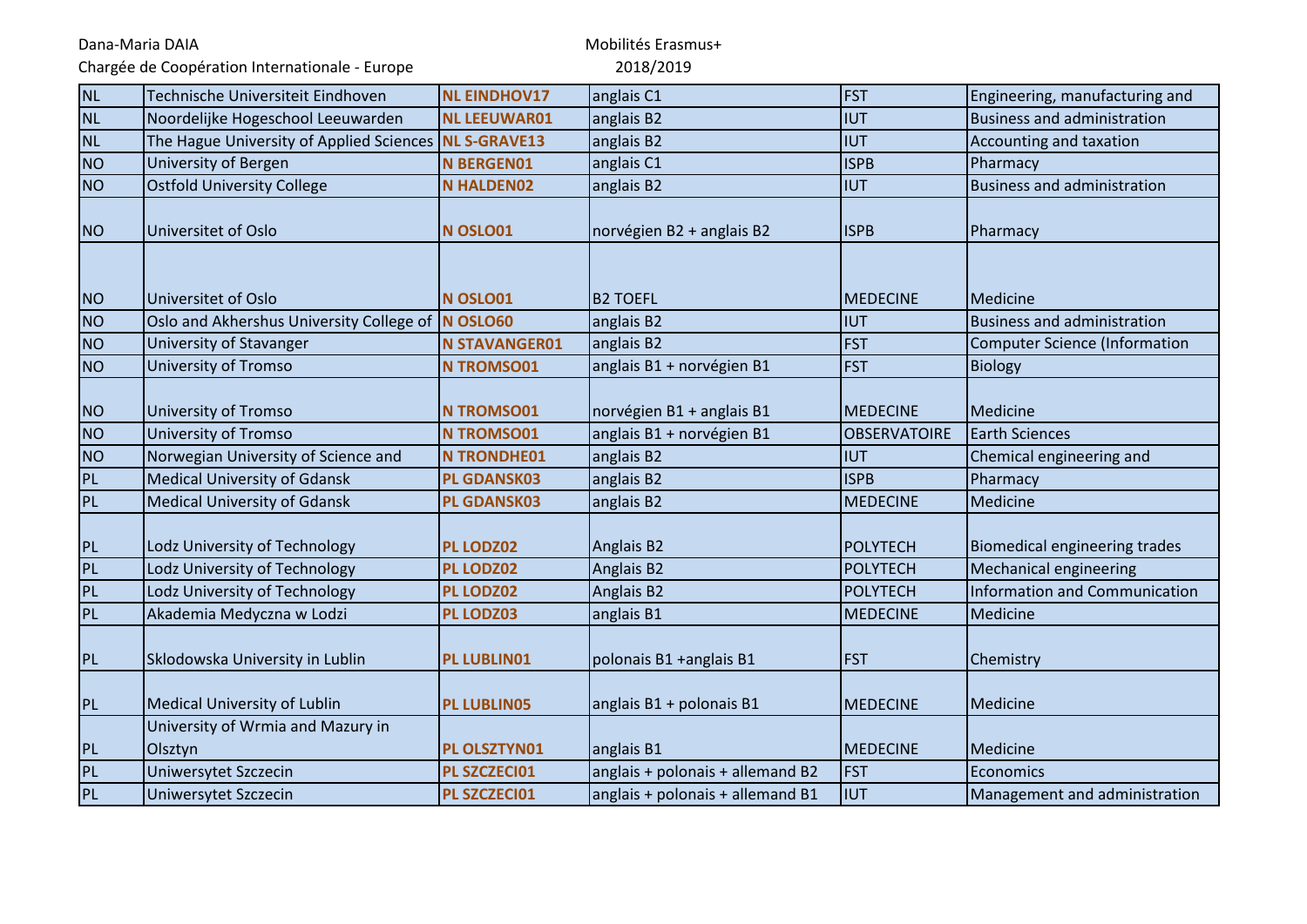Chargée de Coopération Internationale - Europe

| <b>NL</b>      | Technische Universiteit Eindhoven            | <b>NL EINDHOV17</b>  | anglais C1                       | <b>FST</b>          | Engineering, manufacturing and       |
|----------------|----------------------------------------------|----------------------|----------------------------------|---------------------|--------------------------------------|
| <b>NL</b>      | Noordelijke Hogeschool Leeuwarden            | <b>NL LEEUWAR01</b>  | anglais B2                       | IUT                 | <b>Business and administration</b>   |
| <b>NL</b>      | The Hague University of Applied Sciences     | <b>NL S-GRAVE13</b>  | anglais B2                       | <b>IUT</b>          | Accounting and taxation              |
| <b>NO</b>      | <b>University of Bergen</b>                  | <b>N BERGEN01</b>    | anglais C1                       | <b>ISPB</b>         | Pharmacy                             |
| N <sub>O</sub> | <b>Ostfold University College</b>            | <b>N HALDEN02</b>    | anglais B2                       | <b>IIUT</b>         | <b>Business and administration</b>   |
| N <sub>O</sub> | Universitet of Oslo                          | N OSLO01             | norvégien B2 + anglais B2        | <b>ISPB</b>         | Pharmacy                             |
| N <sub>O</sub> | Universitet of Oslo                          | N OSLO01             | <b>B2 TOEFL</b>                  | MEDECINE            | Medicine                             |
| N <sub>O</sub> | Oslo and Akhershus University College of     | N OSLO60             | anglais B2                       | <b>IUT</b>          | <b>Business and administration</b>   |
| <b>NO</b>      | University of Stavanger                      | <b>N STAVANGER01</b> | anglais B2                       | <b>FST</b>          | <b>Computer Science (Information</b> |
| <b>NO</b>      | University of Tromso                         | <b>N TROMSO01</b>    | anglais B1 + norvégien B1        | <b>FST</b>          | <b>Biology</b>                       |
| <b>NO</b>      | University of Tromso                         | <b>N TROMSO01</b>    | norvégien B1 + anglais B1        | <b>MEDECINE</b>     | Medicine                             |
| <b>NO</b>      | <b>University of Tromso</b>                  | <b>N TROMSO01</b>    | anglais B1 + norvégien B1        | <b>OBSERVATOIRE</b> | <b>Earth Sciences</b>                |
| <b>NO</b>      | Norwegian University of Science and          | <b>N TRONDHE01</b>   | anglais B2                       | <b>IUT</b>          | Chemical engineering and             |
| PL             | <b>Medical University of Gdansk</b>          | <b>PL GDANSK03</b>   | anglais B2                       | <b>ISPB</b>         | Pharmacy                             |
| PL             | <b>Medical University of Gdansk</b>          | <b>PL GDANSK03</b>   | anglais B2                       | <b>MEDECINE</b>     | Medicine                             |
| PL             | Lodz University of Technology                | PL LODZ02            | <b>Anglais B2</b>                | POLYTECH            | <b>Biomedical engineering trades</b> |
| PL             | Lodz University of Technology                | PL LODZ02            | Anglais B2                       | POLYTECH            | Mechanical engineering               |
| PL             | Lodz University of Technology                | PL LODZ02            | Anglais B2                       | <b>POLYTECH</b>     | <b>Information and Communication</b> |
| PL             | Akademia Medyczna w Lodzi                    | PL LODZ03            | anglais B1                       | <b>MEDECINE</b>     | Medicine                             |
| PL             | Sklodowska University in Lublin              | <b>PL LUBLIN01</b>   | polonais B1 +anglais B1          | <b>FST</b>          | Chemistry                            |
| PL             | Medical University of Lublin                 | <b>PL LUBLIN05</b>   | anglais B1 + polonais B1         | <b>MEDECINE</b>     | Medicine                             |
| PL             | University of Wrmia and Mazury in<br>Olsztyn | PL OLSZTYN01         | anglais B1                       | <b>MEDECINE</b>     | Medicine                             |
| PL             | Uniwersytet Szczecin                         | PL SZCZECI01         | anglais + polonais + allemand B2 | <b>FST</b>          | Economics                            |
| PL             | Uniwersytet Szczecin                         | PL SZCZECI01         | anglais + polonais + allemand B1 | <b>IIUT</b>         | Management and administration        |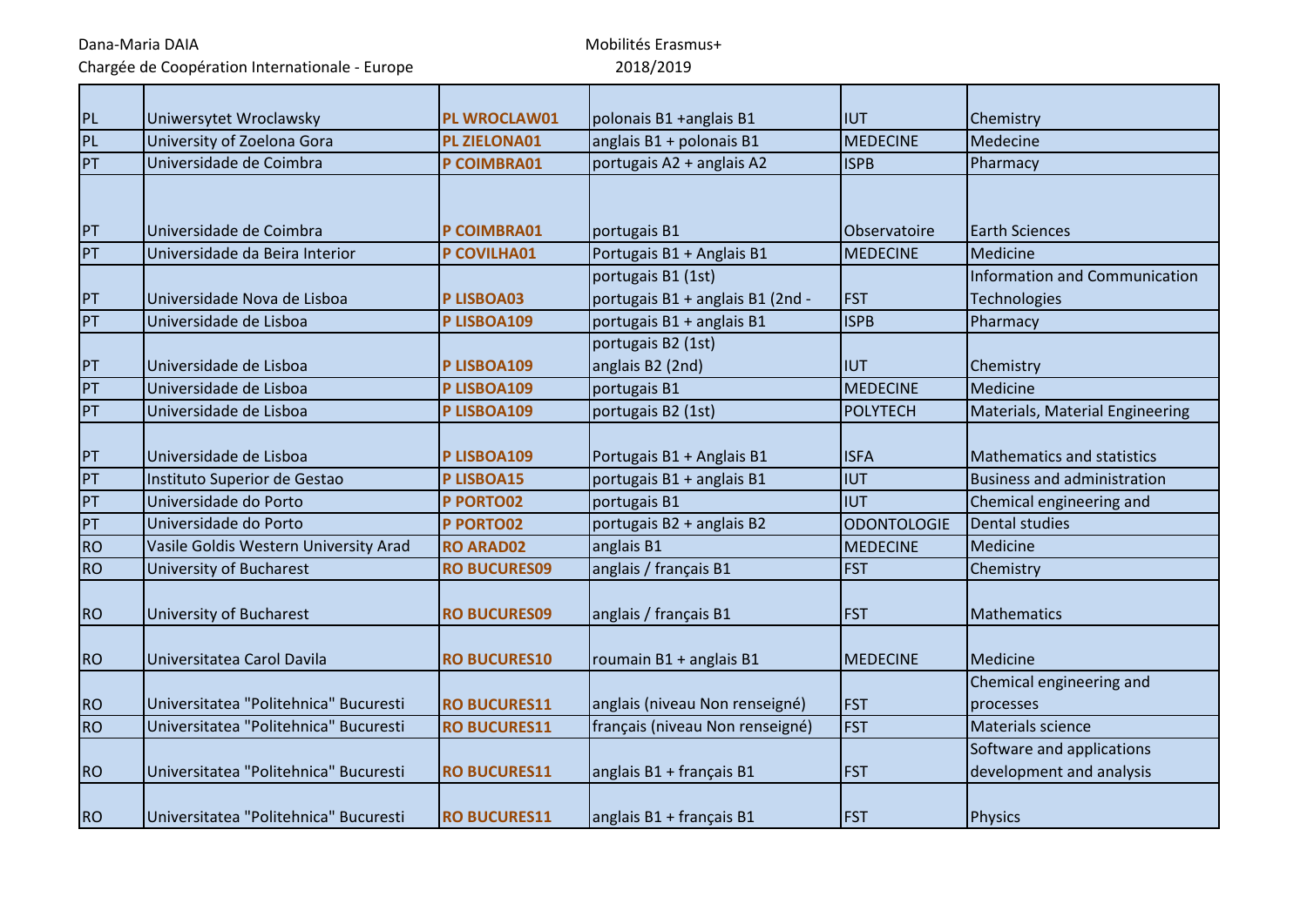Chargée de Coopération Internationale - Europe

| PL        | Uniwersytet Wroclawsky                | <b>PL WROCLAW01</b> | polonais B1 +anglais B1                                | <b>IIUT</b>        | Chemistry                                             |
|-----------|---------------------------------------|---------------------|--------------------------------------------------------|--------------------|-------------------------------------------------------|
| PL        | University of Zoelona Gora            | PL ZIELONA01        | anglais B1 + polonais B1                               | <b>MEDECINE</b>    | Medecine                                              |
| PT        | Universidade de Coimbra               | P COIMBRA01         | portugais A2 + anglais A2                              | <b>ISPB</b>        | Pharmacy                                              |
|           |                                       |                     |                                                        |                    |                                                       |
| PT        | lUniversidade de Coimbra              | P COIMBRA01         | portugais B1                                           | Observatoire       | <b>Earth Sciences</b>                                 |
| PT        | Universidade da Beira Interior        | P COVILHA01         | Portugais B1 + Anglais B1                              | <b>MEDECINE</b>    | Medicine                                              |
| PT        | Universidade Nova de Lisboa           | <b>PLISBOA03</b>    | portugais B1 (1st)<br>portugais B1 + anglais B1 (2nd - | <b>FST</b>         | Information and Communication<br>Technologies         |
| PT        | Universidade de Lisboa                | P LISBOA109         | portugais B1 + anglais B1                              | <b>ISPB</b>        | Pharmacy                                              |
| PT        | Universidade de Lisboa                | P LISBOA109         | portugais B2 (1st)<br>anglais B2 (2nd)                 | <b>IUT</b>         | Chemistry                                             |
| PT        | Universidade de Lisboa                | P LISBOA109         | portugais B1                                           | <b>MEDECINE</b>    | Medicine                                              |
| PT        | Universidade de Lisboa                | P LISBOA109         | portugais B2 (1st)                                     | <b>POLYTECH</b>    | Materials, Material Engineering                       |
| PT        | Universidade de Lisboa                | P LISBOA109         | Portugais B1 + Anglais B1                              | <b>ISFA</b>        | <b>Mathematics and statistics</b>                     |
| PT        | Instituto Superior de Gestao          | P LISBOA15          | portugais B1 + anglais B1                              | IUT                | <b>Business and administration</b>                    |
| PT        | Universidade do Porto                 | P PORTO02           | portugais B1                                           | IUT                | Chemical engineering and                              |
| PT        | Universidade do Porto                 | P PORTO02           | portugais B2 + anglais B2                              | <b>ODONTOLOGIE</b> | <b>Dental studies</b>                                 |
| <b>RO</b> | Vasile Goldis Western University Arad | <b>RO ARAD02</b>    | anglais B1                                             | <b>MEDECINE</b>    | Medicine                                              |
| <b>RO</b> | <b>University of Bucharest</b>        | <b>RO BUCURES09</b> | anglais / français B1                                  | <b>FST</b>         | Chemistry                                             |
| <b>RO</b> | University of Bucharest               | <b>RO BUCURES09</b> | anglais / français B1                                  | <b>FST</b>         | <b>Mathematics</b>                                    |
| <b>RO</b> | Universitatea Carol Davila            | <b>RO BUCURES10</b> | roumain B1 + anglais B1                                | <b>MEDECINE</b>    | Medicine                                              |
| <b>RO</b> | Universitatea "Politehnica" Bucuresti | <b>RO BUCURES11</b> | anglais (niveau Non renseigné)                         | <b>FST</b>         | Chemical engineering and<br>processes                 |
| <b>RO</b> | Universitatea "Politehnica" Bucuresti | <b>RO BUCURES11</b> | français (niveau Non renseigné)                        | <b>FST</b>         | Materials science                                     |
| <b>RO</b> | Universitatea "Politehnica" Bucuresti | <b>RO BUCURES11</b> | anglais B1 + français B1                               | <b>FST</b>         | Software and applications<br>development and analysis |
| <b>RO</b> | Universitatea "Politehnica" Bucuresti | <b>RO BUCURES11</b> | anglais B1 + français B1                               | <b>FST</b>         | <b>Physics</b>                                        |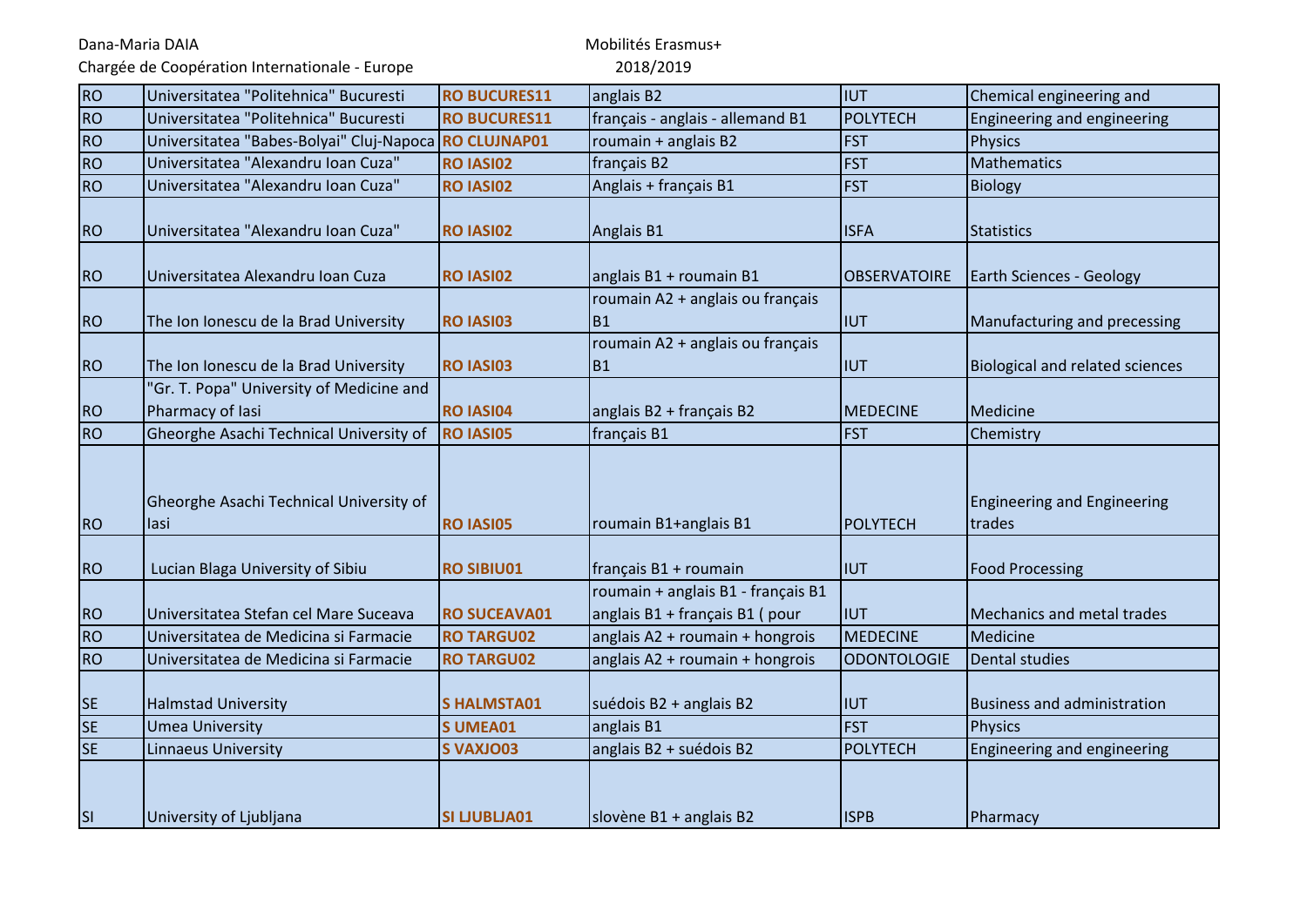Chargée de Coopération Internationale - Europe

| <b>RO</b> | Universitatea "Politehnica" Bucuresti                        | <b>RO BUCURES11</b> | anglais B2                                                           | Iiut                | Chemical engineering and                     |
|-----------|--------------------------------------------------------------|---------------------|----------------------------------------------------------------------|---------------------|----------------------------------------------|
| <b>RO</b> | Universitatea "Politehnica" Bucuresti                        | <b>RO BUCURES11</b> | français - anglais - allemand B1                                     | POLYTECH            | Engineering and engineering                  |
| <b>RO</b> | Universitatea "Babes-Bolyai" Cluj-Napoca RO CLUJNAP01        |                     | roumain + anglais B2                                                 | <b>FST</b>          | <b>Physics</b>                               |
| <b>RO</b> | Universitatea "Alexandru Ioan Cuza"                          | RO IASI02           | français B2                                                          | <b>FST</b>          | Mathematics                                  |
| <b>RO</b> | Universitatea "Alexandru Ioan Cuza"                          | RO IASI02           | Anglais + français B1                                                | <b>FST</b>          | <b>Biology</b>                               |
| <b>RO</b> | Universitatea "Alexandru Ioan Cuza"                          | RO IASI02           | Anglais B1                                                           | <b>ISFA</b>         | <b>Statistics</b>                            |
| <b>RO</b> | Universitatea Alexandru Ioan Cuza                            | <b>RO IASI02</b>    | anglais B1 + roumain B1                                              | <b>OBSERVATOIRE</b> | <b>Earth Sciences - Geology</b>              |
| <b>RO</b> | The Ion Ionescu de la Brad University                        | RO IASI03           | roumain A2 + anglais ou français<br><b>B1</b>                        | <b>IIUT</b>         | Manufacturing and precessing                 |
| <b>RO</b> | The Ion Ionescu de la Brad University                        | <b>RO IASI03</b>    | roumain A2 + anglais ou français<br>B <sub>1</sub>                   | <b>IIUT</b>         | <b>Biological and related sciences</b>       |
| <b>RO</b> | "Gr. T. Popa" University of Medicine and<br>Pharmacy of lasi | <b>RO IASI04</b>    | anglais B2 + français B2                                             | <b>MEDECINE</b>     | Medicine                                     |
| <b>RO</b> | Gheorghe Asachi Technical University of                      | <b>RO IASI05</b>    | français B1                                                          | <b>FST</b>          | Chemistry                                    |
| <b>RO</b> | Gheorghe Asachi Technical University of<br>lasi              | <b>RO IASI05</b>    | roumain B1+anglais B1                                                | POLYTECH            | <b>Engineering and Engineering</b><br>trades |
| <b>RO</b> | Lucian Blaga University of Sibiu                             | <b>RO SIBIU01</b>   | français B1 + roumain                                                | <b>IIUT</b>         | <b>Food Processing</b>                       |
| <b>RO</b> | Universitatea Stefan cel Mare Suceava                        | <b>RO SUCEAVA01</b> | roumain + anglais B1 - français B1<br>anglais B1 + français B1 (pour | <b>IUT</b>          | Mechanics and metal trades                   |
| <b>RO</b> | Universitatea de Medicina si Farmacie                        | <b>RO TARGU02</b>   | anglais A2 + roumain + hongrois                                      | <b>MEDECINE</b>     | Medicine                                     |
| <b>RO</b> | Universitatea de Medicina si Farmacie                        | <b>RO TARGU02</b>   | anglais A2 + roumain + hongrois                                      | <b>ODONTOLOGIE</b>  | <b>Dental studies</b>                        |
| <b>SE</b> | <b>Halmstad University</b>                                   | <b>SHALMSTA01</b>   | suédois B2 + anglais B2                                              | <b>IIUT</b>         | <b>Business and administration</b>           |
| <b>SE</b> | <b>Umea University</b>                                       | <b>SUMEA01</b>      | anglais B1                                                           | <b>FST</b>          | <b>Physics</b>                               |
| <b>SE</b> | <b>Linnaeus University</b>                                   | <b>S VAXJO03</b>    | anglais B2 + suédois B2                                              | <b>POLYTECH</b>     | Engineering and engineering                  |
| <b>SI</b> | University of Ljubljana                                      | <b>SI LJUBLJA01</b> | slovène B1 + anglais B2                                              | <b>ISPB</b>         | Pharmacy                                     |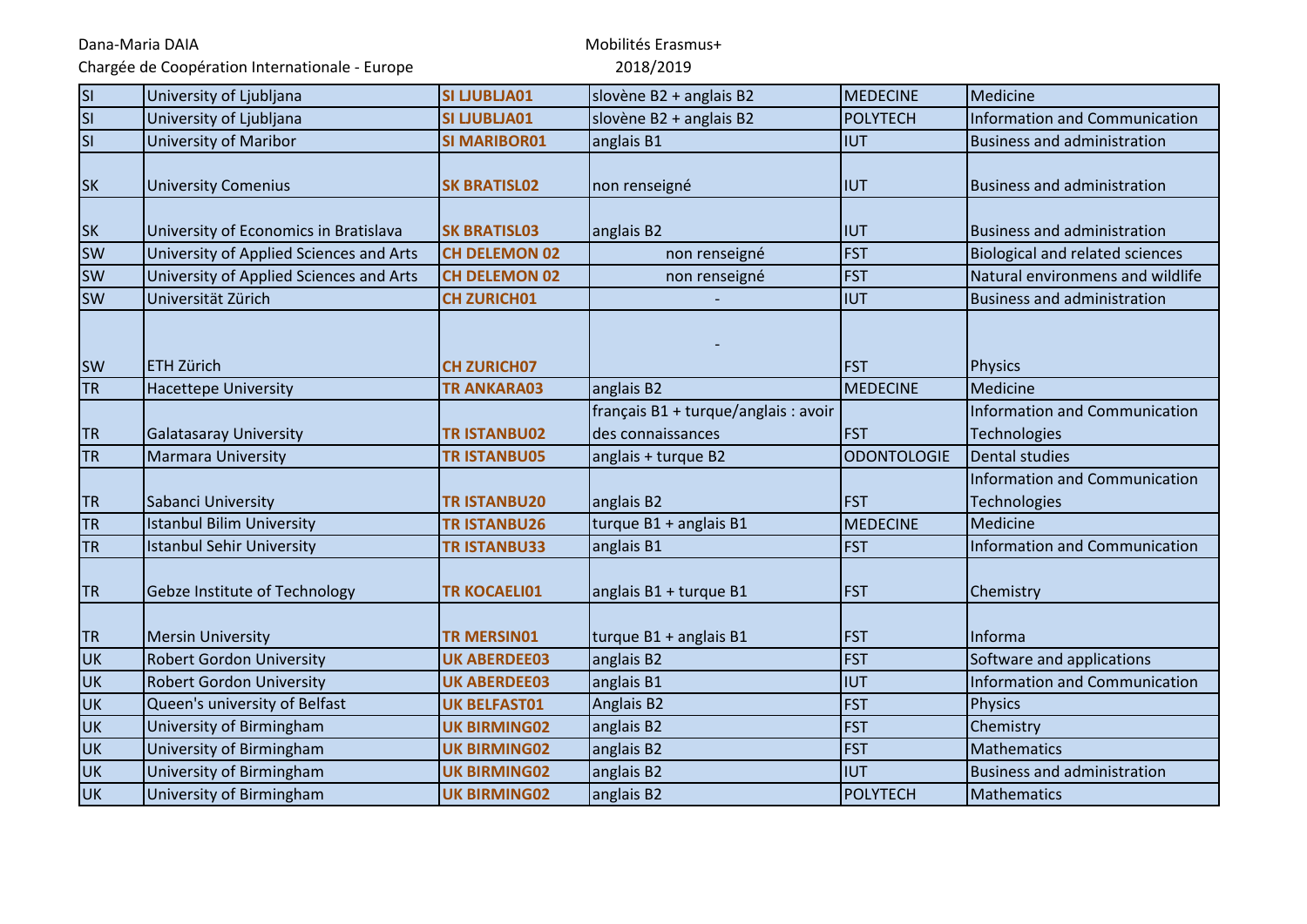Chargée de Coopération Internationale - Europe

| <b>SI</b>                | University of Ljubljana                 | <b>SI LJUBLJA01</b>  | slovène B2 + anglais B2                                   | <b>MEDECINE</b>    | Medicine                                      |
|--------------------------|-----------------------------------------|----------------------|-----------------------------------------------------------|--------------------|-----------------------------------------------|
| $\overline{\mathsf{SI}}$ | University of Ljubljana                 | <b>SI LJUBLJA01</b>  | slovène B2 + anglais B2                                   | <b>POLYTECH</b>    | Information and Communication                 |
| <b>SI</b>                | <b>University of Maribor</b>            | <b>SI MARIBOR01</b>  | anglais B1                                                | <b>IUT</b>         | <b>Business and administration</b>            |
| <b>SK</b>                | <b>University Comenius</b>              | <b>SK BRATISL02</b>  | non renseigné                                             | <b>IUT</b>         | <b>Business and administration</b>            |
| <b>SK</b>                | University of Economics in Bratislava   | <b>SK BRATISL03</b>  | anglais B2                                                | <b>IUT</b>         | <b>Business and administration</b>            |
| <b>SW</b>                | University of Applied Sciences and Arts | <b>CH DELEMON 02</b> | non renseigné                                             | <b>FST</b>         | <b>Biological and related sciences</b>        |
| <b>SW</b>                | University of Applied Sciences and Arts | <b>CH DELEMON 02</b> | non renseigné                                             | <b>FST</b>         | Natural environmens and wildlife              |
| <b>SW</b>                | Universität Zürich                      | <b>CH ZURICH01</b>   |                                                           | <b>IUT</b>         | <b>Business and administration</b>            |
| <b>SW</b>                | <b>ETH Zürich</b>                       | <b>CH ZURICH07</b>   |                                                           | <b>FST</b>         | <b>Physics</b>                                |
| <b>TR</b>                | <b>Hacettepe University</b>             | <b>TR ANKARA03</b>   | anglais B2                                                | MEDECINE           | Medicine                                      |
| <b>TR</b>                | <b>Galatasaray University</b>           | <b>TR ISTANBU02</b>  | français B1 + turque/anglais : avoir<br>des connaissances | <b>FST</b>         | Information and Communication<br>Technologies |
| <b>TR</b>                | <b>Marmara University</b>               | <b>TRISTANBU05</b>   | anglais + turque B2                                       | <b>ODONTOLOGIE</b> | Dental studies                                |
| <b>TR</b>                | Sabanci University                      | <b>TRISTANBU20</b>   | anglais B2                                                | <b>FST</b>         | Information and Communication<br>Technologies |
| <b>TR</b>                | <b>Istanbul Bilim University</b>        | <b>TRISTANBU26</b>   | turque B1 + anglais B1                                    | <b>MEDECINE</b>    | Medicine                                      |
| <b>TR</b>                | <b>Istanbul Sehir University</b>        | <b>TRISTANBU33</b>   | anglais B1                                                | <b>FST</b>         | Information and Communication                 |
| <b>TR</b>                | Gebze Institute of Technology           | <b>TR KOCAELI01</b>  | anglais B1 + turque B1                                    | <b>FST</b>         | Chemistry                                     |
| <b>TR</b>                | <b>Mersin University</b>                | <b>TR MERSIN01</b>   | turque B1 + anglais B1                                    | <b>FST</b>         | Informa                                       |
| <b>UK</b>                | <b>Robert Gordon University</b>         | <b>UK ABERDEE03</b>  | anglais B2                                                | <b>FST</b>         | Software and applications                     |
| <b>UK</b>                | <b>Robert Gordon University</b>         | <b>UK ABERDEE03</b>  | anglais B1                                                | <b>IUT</b>         | Information and Communication                 |
| <b>UK</b>                | Queen's university of Belfast           | <b>UK BELFAST01</b>  | Anglais B2                                                | <b>FST</b>         | <b>Physics</b>                                |
| <b>UK</b>                | University of Birmingham                | <b>UK BIRMING02</b>  | anglais B2                                                | <b>FST</b>         | Chemistry                                     |
| <b>UK</b>                | University of Birmingham                | <b>UK BIRMING02</b>  | anglais B2                                                | <b>FST</b>         | Mathematics                                   |
| <b>UK</b>                | University of Birmingham                | <b>UK BIRMING02</b>  | anglais B2                                                | <b>IUT</b>         | <b>Business and administration</b>            |
| <b>UK</b>                | University of Birmingham                | <b>UK BIRMING02</b>  | anglais B2                                                | <b>POLYTECH</b>    | Mathematics                                   |